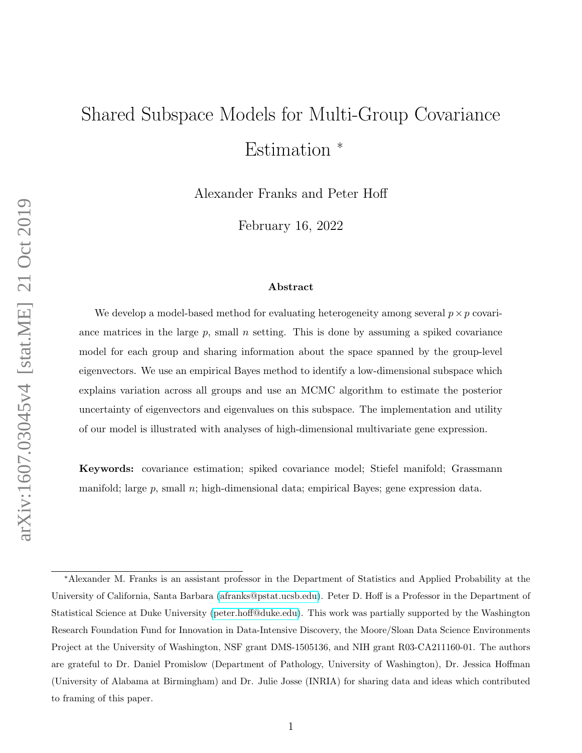# Shared Subspace Models for Multi-Group Covariance Estimation <sup>∗</sup>

Alexander Franks and Peter Hoff

February 16, 2022

#### Abstract

We develop a model-based method for evaluating heterogeneity among several  $p \times p$  covariance matrices in the large  $p$ , small  $n$  setting. This is done by assuming a spiked covariance model for each group and sharing information about the space spanned by the group-level eigenvectors. We use an empirical Bayes method to identify a low-dimensional subspace which explains variation across all groups and use an MCMC algorithm to estimate the posterior uncertainty of eigenvectors and eigenvalues on this subspace. The implementation and utility of our model is illustrated with analyses of high-dimensional multivariate gene expression.

Keywords: covariance estimation; spiked covariance model; Stiefel manifold; Grassmann manifold; large p, small  $n$ ; high-dimensional data; empirical Bayes; gene expression data.

<sup>∗</sup>Alexander M. Franks is an assistant professor in the Department of Statistics and Applied Probability at the University of California, Santa Barbara [\(afranks@pstat.ucsb.edu\)](mailto:amfranks@uw.edu). Peter D. Hoff is a Professor in the Department of Statistical Science at Duke University [\(peter.hoff@duke.edu\)](mailto:peter.hoff@duke.edu). This work was partially supported by the Washington Research Foundation Fund for Innovation in Data-Intensive Discovery, the Moore/Sloan Data Science Environments Project at the University of Washington, NSF grant DMS-1505136, and NIH grant R03-CA211160-01. The authors are grateful to Dr. Daniel Promislow (Department of Pathology, University of Washington), Dr. Jessica Hoffman (University of Alabama at Birmingham) and Dr. Julie Josse (INRIA) for sharing data and ideas which contributed to framing of this paper.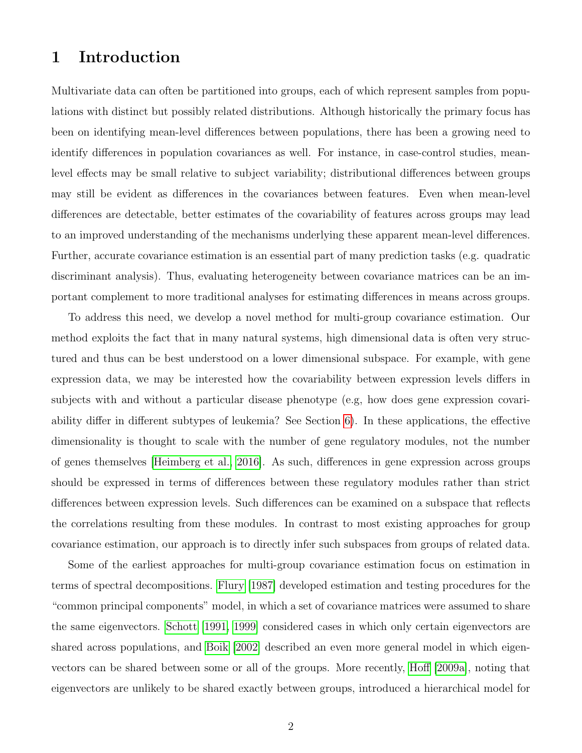## 1 Introduction

Multivariate data can often be partitioned into groups, each of which represent samples from populations with distinct but possibly related distributions. Although historically the primary focus has been on identifying mean-level differences between populations, there has been a growing need to identify differences in population covariances as well. For instance, in case-control studies, meanlevel effects may be small relative to subject variability; distributional differences between groups may still be evident as differences in the covariances between features. Even when mean-level differences are detectable, better estimates of the covariability of features across groups may lead to an improved understanding of the mechanisms underlying these apparent mean-level differences. Further, accurate covariance estimation is an essential part of many prediction tasks (e.g. quadratic discriminant analysis). Thus, evaluating heterogeneity between covariance matrices can be an important complement to more traditional analyses for estimating differences in means across groups.

To address this need, we develop a novel method for multi-group covariance estimation. Our method exploits the fact that in many natural systems, high dimensional data is often very structured and thus can be best understood on a lower dimensional subspace. For example, with gene expression data, we may be interested how the covariability between expression levels differs in subjects with and without a particular disease phenotype (e.g, how does gene expression covariability differ in different subtypes of leukemia? See Section [6\)](#page-22-0). In these applications, the effective dimensionality is thought to scale with the number of gene regulatory modules, not the number of genes themselves [\[Heimberg et al., 2016\]](#page-41-0). As such, differences in gene expression across groups should be expressed in terms of differences between these regulatory modules rather than strict differences between expression levels. Such differences can be examined on a subspace that reflects the correlations resulting from these modules. In contrast to most existing approaches for group covariance estimation, our approach is to directly infer such subspaces from groups of related data.

Some of the earliest approaches for multi-group covariance estimation focus on estimation in terms of spectral decompositions. [Flury](#page-41-1) [\[1987\]](#page-41-1) developed estimation and testing procedures for the "common principal components" model, in which a set of covariance matrices were assumed to share the same eigenvectors. [Schott](#page-43-0) [\[1991,](#page-43-0) [1999\]](#page-44-0) considered cases in which only certain eigenvectors are shared across populations, and [Boik](#page-40-0) [\[2002\]](#page-40-0) described an even more general model in which eigenvectors can be shared between some or all of the groups. More recently, [Hoff](#page-41-2) [\[2009a\]](#page-41-2), noting that eigenvectors are unlikely to be shared exactly between groups, introduced a hierarchical model for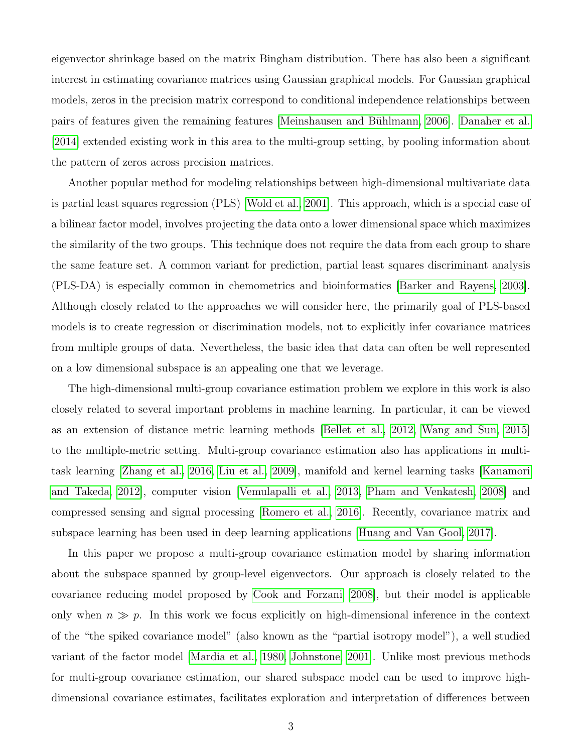eigenvector shrinkage based on the matrix Bingham distribution. There has also been a significant interest in estimating covariance matrices using Gaussian graphical models. For Gaussian graphical models, zeros in the precision matrix correspond to conditional independence relationships between pairs of features given the remaining features [Meinshausen and Bühlmann, 2006]. [Danaher et al.](#page-40-1) [\[2014\]](#page-40-1) extended existing work in this area to the multi-group setting, by pooling information about the pattern of zeros across precision matrices.

Another popular method for modeling relationships between high-dimensional multivariate data is partial least squares regression (PLS) [\[Wold et al., 2001\]](#page-44-1). This approach, which is a special case of a bilinear factor model, involves projecting the data onto a lower dimensional space which maximizes the similarity of the two groups. This technique does not require the data from each group to share the same feature set. A common variant for prediction, partial least squares discriminant analysis (PLS-DA) is especially common in chemometrics and bioinformatics [\[Barker and Rayens, 2003\]](#page-40-2). Although closely related to the approaches we will consider here, the primarily goal of PLS-based models is to create regression or discrimination models, not to explicitly infer covariance matrices from multiple groups of data. Nevertheless, the basic idea that data can often be well represented on a low dimensional subspace is an appealing one that we leverage.

The high-dimensional multi-group covariance estimation problem we explore in this work is also closely related to several important problems in machine learning. In particular, it can be viewed as an extension of distance metric learning methods [\[Bellet et al., 2012,](#page-40-3) [Wang and Sun, 2015\]](#page-44-2) to the multiple-metric setting. Multi-group covariance estimation also has applications in multitask learning [\[Zhang et al., 2016,](#page-45-0) [Liu et al., 2009\]](#page-42-0), manifold and kernel learning tasks [\[Kanamori](#page-42-1) [and Takeda, 2012\]](#page-42-1), computer vision [\[Vemulapalli et al., 2013,](#page-44-3) [Pham and Venkatesh, 2008\]](#page-43-2) and compressed sensing and signal processing [\[Romero et al., 2016\]](#page-43-3). Recently, covariance matrix and subspace learning has been used in deep learning applications [\[Huang and Van Gool, 2017\]](#page-42-2).

In this paper we propose a multi-group covariance estimation model by sharing information about the subspace spanned by group-level eigenvectors. Our approach is closely related to the covariance reducing model proposed by [Cook and Forzani](#page-40-4) [\[2008\]](#page-40-4), but their model is applicable only when  $n \gg p$ . In this work we focus explicitly on high-dimensional inference in the context of the "the spiked covariance model" (also known as the "partial isotropy model"), a well studied variant of the factor model [\[Mardia et al., 1980,](#page-42-3) [Johnstone, 2001\]](#page-42-4). Unlike most previous methods for multi-group covariance estimation, our shared subspace model can be used to improve highdimensional covariance estimates, facilitates exploration and interpretation of differences between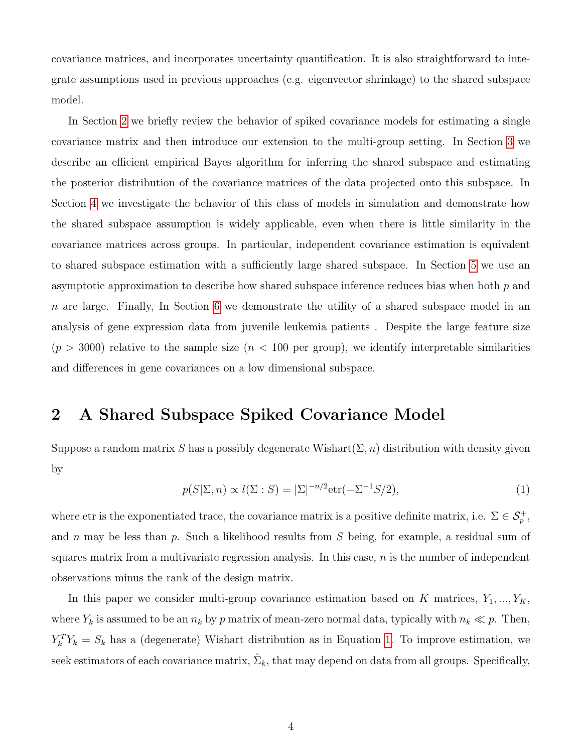covariance matrices, and incorporates uncertainty quantification. It is also straightforward to integrate assumptions used in previous approaches (e.g. eigenvector shrinkage) to the shared subspace model.

In Section [2](#page-3-0) we briefly review the behavior of spiked covariance models for estimating a single covariance matrix and then introduce our extension to the multi-group setting. In Section [3](#page-6-0) we describe an efficient empirical Bayes algorithm for inferring the shared subspace and estimating the posterior distribution of the covariance matrices of the data projected onto this subspace. In Section [4](#page-14-0) we investigate the behavior of this class of models in simulation and demonstrate how the shared subspace assumption is widely applicable, even when there is little similarity in the covariance matrices across groups. In particular, independent covariance estimation is equivalent to shared subspace estimation with a sufficiently large shared subspace. In Section [5](#page-19-0) we use an asymptotic approximation to describe how shared subspace inference reduces bias when both  $p$  and n are large. Finally, In Section [6](#page-22-0) we demonstrate the utility of a shared subspace model in an analysis of gene expression data from juvenile leukemia patients . Despite the large feature size  $(p > 3000)$  relative to the sample size  $(n < 100$  per group), we identify interpretable similarities and differences in gene covariances on a low dimensional subspace.

## <span id="page-3-0"></span>2 A Shared Subspace Spiked Covariance Model

Suppose a random matrix S has a possibly degenerate Wishart( $\Sigma$ , n) distribution with density given by

<span id="page-3-1"></span>
$$
p(S|\Sigma, n) \propto l(\Sigma : S) = |\Sigma|^{-n/2} \text{etr}(-\Sigma^{-1}S/2), \tag{1}
$$

where etr is the exponentiated trace, the covariance matrix is a positive definite matrix, i.e.  $\Sigma \in \mathcal{S}_p^+$ , and n may be less than p. Such a likelihood results from  $S$  being, for example, a residual sum of squares matrix from a multivariate regression analysis. In this case,  $n$  is the number of independent observations minus the rank of the design matrix.

In this paper we consider multi-group covariance estimation based on K matrices,  $Y_1, ..., Y_K$ , where  $Y_k$  is assumed to be an  $n_k$  by p matrix of mean-zero normal data, typically with  $n_k \ll p$ . Then,  $Y_k^T Y_k = S_k$  has a (degenerate) Wishart distribution as in Equation [1.](#page-3-1) To improve estimation, we seek estimators of each covariance matrix,  $\hat{\Sigma}_k$ , that may depend on data from all groups. Specifically,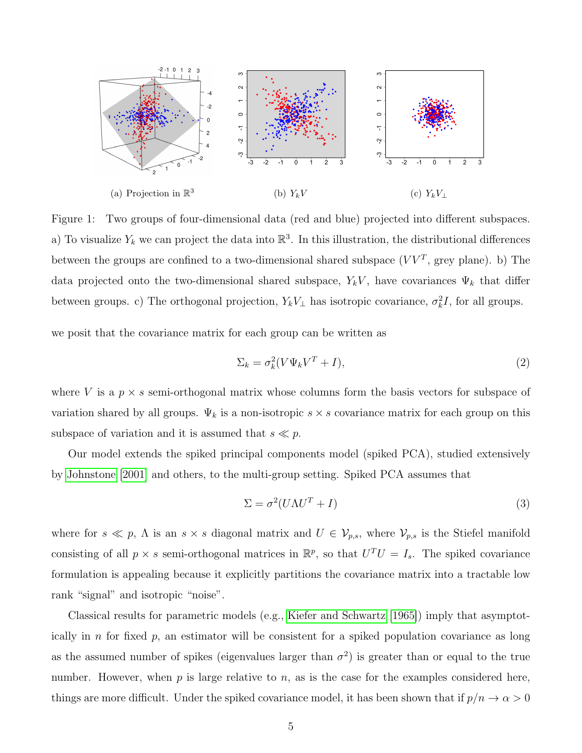

<span id="page-4-1"></span>Figure 1: Two groups of four-dimensional data (red and blue) projected into different subspaces. a) To visualize  $Y_k$  we can project the data into  $\mathbb{R}^3$ . In this illustration, the distributional differences between the groups are confined to a two-dimensional shared subspace  $(VV^T)$ , grey plane). b) The data projected onto the two-dimensional shared subspace,  $Y_kV$ , have covariances  $\Psi_k$  that differ between groups. c) The orthogonal projection,  $Y_k V_\perp$  has isotropic covariance,  $\sigma_k^2 I$ , for all groups.

we posit that the covariance matrix for each group can be written as

<span id="page-4-2"></span>
$$
\Sigma_k = \sigma_k^2 (V \Psi_k V^T + I), \tag{2}
$$

where V is a  $p \times s$  semi-orthogonal matrix whose columns form the basis vectors for subspace of variation shared by all groups.  $\Psi_k$  is a non-isotropic  $s \times s$  covariance matrix for each group on this subspace of variation and it is assumed that  $s \ll p$ .

Our model extends the spiked principal components model (spiked PCA), studied extensively by [Johnstone](#page-42-4) [\[2001\]](#page-42-4) and others, to the multi-group setting. Spiked PCA assumes that

<span id="page-4-0"></span>
$$
\Sigma = \sigma^2 (U\Lambda U^T + I) \tag{3}
$$

where for  $s \ll p$ ,  $\Lambda$  is an  $s \times s$  diagonal matrix and  $U \in \mathcal{V}_{p,s}$ , where  $\mathcal{V}_{p,s}$  is the Stiefel manifold consisting of all  $p \times s$  semi-orthogonal matrices in  $\mathbb{R}^p$ , so that  $U^T U = I_s$ . The spiked covariance formulation is appealing because it explicitly partitions the covariance matrix into a tractable low rank "signal" and isotropic "noise".

Classical results for parametric models (e.g., [Kiefer and Schwartz](#page-42-5) [\[1965\]](#page-42-5)) imply that asymptotically in n for fixed  $p$ , an estimator will be consistent for a spiked population covariance as long as the assumed number of spikes (eigenvalues larger than  $\sigma^2$ ) is greater than or equal to the true number. However, when  $p$  is large relative to  $n$ , as is the case for the examples considered here, things are more difficult. Under the spiked covariance model, it has been shown that if  $p/n \to \alpha > 0$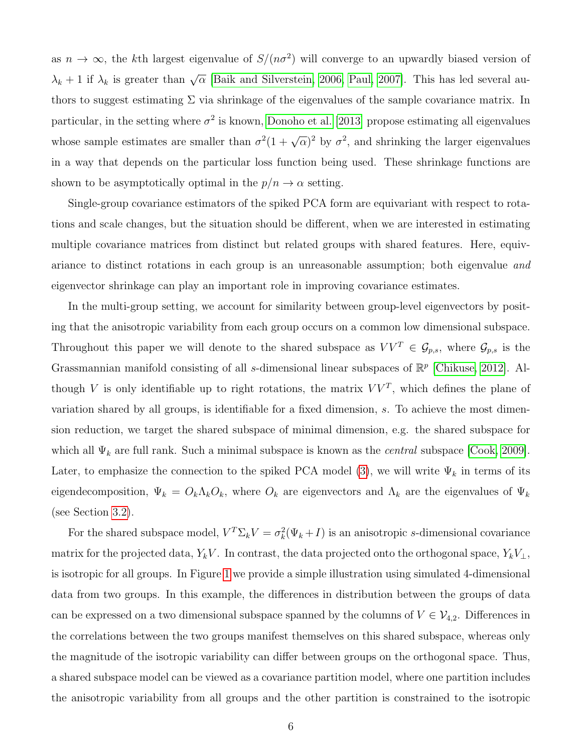as  $n \to \infty$ , the kth largest eigenvalue of  $S/(n\sigma^2)$  will converge to an upwardly biased version of  $\lambda_k + 1$  if  $\lambda_k$  is greater than  $\sqrt{\alpha}$  [\[Baik and Silverstein, 2006,](#page-40-5) [Paul, 2007\]](#page-43-4). This has led several authors to suggest estimating  $\Sigma$  via shrinkage of the eigenvalues of the sample covariance matrix. In particular, in the setting where  $\sigma^2$  is known, [Donoho et al.](#page-41-3) [\[2013\]](#page-41-3) propose estimating all eigenvalues whose sample estimates are smaller than  $\sigma^2(1+\sqrt{\alpha})^2$  by  $\sigma^2$ , and shrinking the larger eigenvalues in a way that depends on the particular loss function being used. These shrinkage functions are shown to be asymptotically optimal in the  $p/n \to \alpha$  setting.

Single-group covariance estimators of the spiked PCA form are equivariant with respect to rotations and scale changes, but the situation should be different, when we are interested in estimating multiple covariance matrices from distinct but related groups with shared features. Here, equivariance to distinct rotations in each group is an unreasonable assumption; both eigenvalue and eigenvector shrinkage can play an important role in improving covariance estimates.

In the multi-group setting, we account for similarity between group-level eigenvectors by positing that the anisotropic variability from each group occurs on a common low dimensional subspace. Throughout this paper we will denote to the shared subspace as  $VV^T \in \mathcal{G}_{p,s}$ , where  $\mathcal{G}_{p,s}$  is the Grassmannian manifold consisting of all s-dimensional linear subspaces of  $\mathbb{R}^p$  [\[Chikuse, 2012\]](#page-40-6). Although V is only identifiable up to right rotations, the matrix  $VV<sup>T</sup>$ , which defines the plane of variation shared by all groups, is identifiable for a fixed dimension, s. To achieve the most dimension reduction, we target the shared subspace of minimal dimension, e.g. the shared subspace for which all  $\Psi_k$  are full rank. Such a minimal subspace is known as the *central* subspace [\[Cook, 2009\]](#page-40-7). Later, to emphasize the connection to the spiked PCA model [\(3\)](#page-4-0), we will write  $\Psi_k$  in terms of its eigendecomposition,  $\Psi_k = O_k \Lambda_k O_k$ , where  $O_k$  are eigenvectors and  $\Lambda_k$  are the eigenvalues of  $\Psi_k$ (see Section [3.2\)](#page-11-0).

For the shared subspace model,  $V^T \Sigma_k V = \sigma_k^2 (\Psi_k + I)$  is an anisotropic s-dimensional covariance matrix for the projected data,  $Y_kV$ . In contrast, the data projected onto the orthogonal space,  $Y_kV_\perp$ , is isotropic for all groups. In Figure [1](#page-4-1) we provide a simple illustration using simulated 4-dimensional data from two groups. In this example, the differences in distribution between the groups of data can be expressed on a two dimensional subspace spanned by the columns of  $V \in V_{4,2}$ . Differences in the correlations between the two groups manifest themselves on this shared subspace, whereas only the magnitude of the isotropic variability can differ between groups on the orthogonal space. Thus, a shared subspace model can be viewed as a covariance partition model, where one partition includes the anisotropic variability from all groups and the other partition is constrained to the isotropic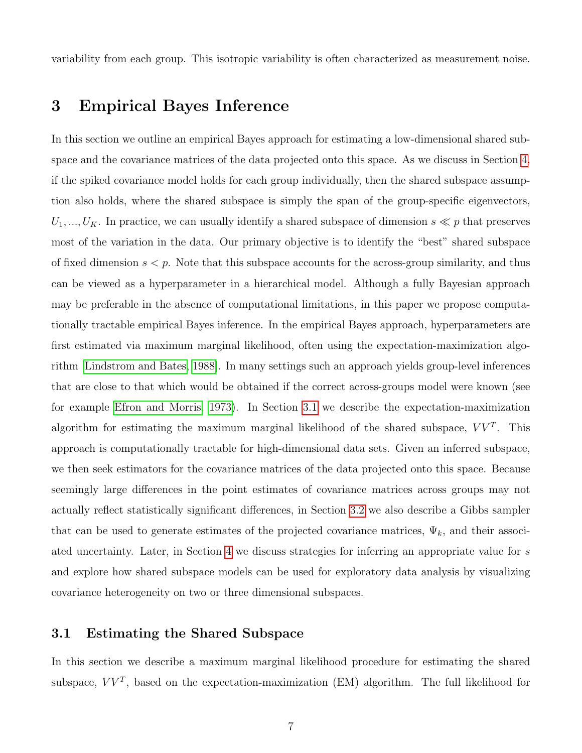variability from each group. This isotropic variability is often characterized as measurement noise.

## <span id="page-6-0"></span>3 Empirical Bayes Inference

In this section we outline an empirical Bayes approach for estimating a low-dimensional shared subspace and the covariance matrices of the data projected onto this space. As we discuss in Section [4,](#page-14-0) if the spiked covariance model holds for each group individually, then the shared subspace assumption also holds, where the shared subspace is simply the span of the group-specific eigenvectors,  $U_1, ..., U_K$ . In practice, we can usually identify a shared subspace of dimension  $s \ll p$  that preserves most of the variation in the data. Our primary objective is to identify the "best" shared subspace of fixed dimension  $s < p$ . Note that this subspace accounts for the across-group similarity, and thus can be viewed as a hyperparameter in a hierarchical model. Although a fully Bayesian approach may be preferable in the absence of computational limitations, in this paper we propose computationally tractable empirical Bayes inference. In the empirical Bayes approach, hyperparameters are first estimated via maximum marginal likelihood, often using the expectation-maximization algorithm [\[Lindstrom and Bates, 1988\]](#page-42-6). In many settings such an approach yields group-level inferences that are close to that which would be obtained if the correct across-groups model were known (see for example [Efron and Morris, 1973\)](#page-41-4). In Section [3.1](#page-6-1) we describe the expectation-maximization algorithm for estimating the maximum marginal likelihood of the shared subspace,  $VV<sup>T</sup>$ . This approach is computationally tractable for high-dimensional data sets. Given an inferred subspace, we then seek estimators for the covariance matrices of the data projected onto this space. Because seemingly large differences in the point estimates of covariance matrices across groups may not actually reflect statistically significant differences, in Section [3.2](#page-11-0) we also describe a Gibbs sampler that can be used to generate estimates of the projected covariance matrices,  $\Psi_k$ , and their associated uncertainty. Later, in Section [4](#page-14-0) we discuss strategies for inferring an appropriate value for s and explore how shared subspace models can be used for exploratory data analysis by visualizing covariance heterogeneity on two or three dimensional subspaces.

#### <span id="page-6-1"></span>3.1 Estimating the Shared Subspace

In this section we describe a maximum marginal likelihood procedure for estimating the shared subspace,  $VV^T$ , based on the expectation-maximization (EM) algorithm. The full likelihood for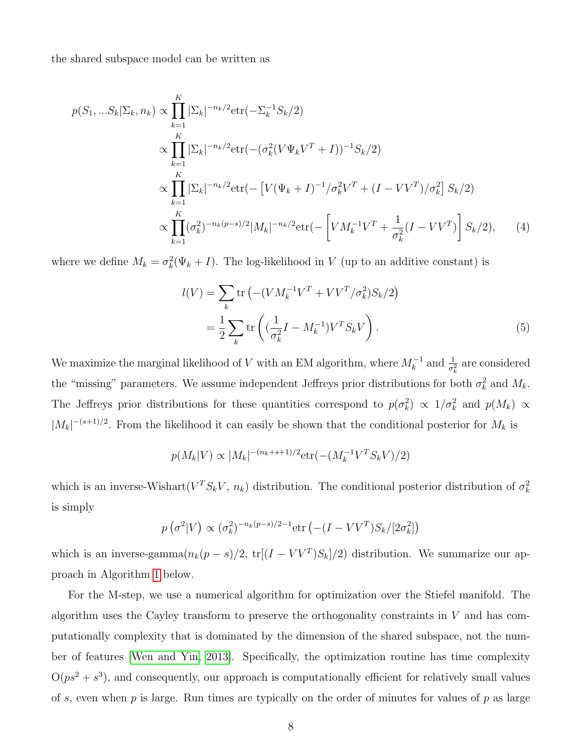the shared subspace model can be written as

$$
p(S_1, ... S_k | \Sigma_k, n_k) \propto \prod_{k=1}^K |\Sigma_k|^{-n_k/2} \text{etr}(-\Sigma_k^{-1} S_k/2)
$$
  
 
$$
\propto \prod_{k=1}^K |\Sigma_k|^{-n_k/2} \text{etr}(-(\sigma_k^2 (V\Psi_k V^T + I))^{-1} S_k/2)
$$
  
 
$$
\propto \prod_{k=1}^K |\Sigma_k|^{-n_k/2} \text{etr}(-[V(\Psi_k + I)^{-1}/\sigma_k^2 V^T + (I - VV^T)/\sigma_k^2] S_k/2)
$$
  
 
$$
\propto \prod_{k=1}^K (\sigma_k^2)^{-n_k(p-s)/2} |M_k|^{-n_k/2} \text{etr}(-\left[VM_k^{-1}V^T + \frac{1}{\sigma_k^2} (I - VV^T)\right] S_k/2), \qquad (4)
$$

where we define  $M_k = \sigma_k^2(\Psi_k + I)$ . The log-likelihood in V (up to an additive constant) is

<span id="page-7-0"></span>
$$
l(V) = \sum_{k} \text{tr} \left( -(VM_k^{-1}V^T + VV^T/\sigma_k^2) S_k/2 \right)
$$
  
=  $\frac{1}{2} \sum_{k} \text{tr} \left( (\frac{1}{\sigma_k^2}I - M_k^{-1}) V^T S_k V \right).$  (5)

We maximize the marginal likelihood of V with an EM algorithm, where  $M_k^{-1}$  and  $\frac{1}{\sigma_k^2}$  are considered the "missing" parameters. We assume independent Jeffreys prior distributions for both  $\sigma_k^2$  and  $M_k$ . The Jeffreys prior distributions for these quantities correspond to  $p(\sigma_k^2) \propto 1/\sigma_k^2$  and  $p(M_k) \propto$  $|M_k|^{-(s+1)/2}$ . From the likelihood it can easily be shown that the conditional posterior for  $M_k$  is

$$
p(M_k|V) \propto |M_k|^{-(n_k+s+1)/2} \text{etr}(- (M_k^{-1}V^T S_k V)/2)
$$

which is an inverse-Wishart $(V^T S_k V, n_k)$  distribution. The conditional posterior distribution of  $\sigma_k^2$ is simply

$$
p\left(\sigma^2|V\right) \propto (\sigma_k^2)^{-n_k(p-s)/2-1} \text{etr}\left(-(I - VV^T)S_k/[2\sigma_k^2]\right)
$$

which is an inverse-gamma $(n_k(p-s)/2, \text{ tr}[(I - V V^T)S_k]/2)$  distribution. We summarize our approach in Algorithm [1](#page-8-0) below.

For the M-step, we use a numerical algorithm for optimization over the Stiefel manifold. The algorithm uses the Cayley transform to preserve the orthogonality constraints in  $V$  and has computationally complexity that is dominated by the dimension of the shared subspace, not the number of features [\[Wen and Yin, 2013\]](#page-44-4). Specifically, the optimization routine has time complexity  $O(ps^2 + s^3)$ , and consequently, our approach is computationally efficient for relatively small values of s, even when  $p$  is large. Run times are typically on the order of minutes for values of  $p$  as large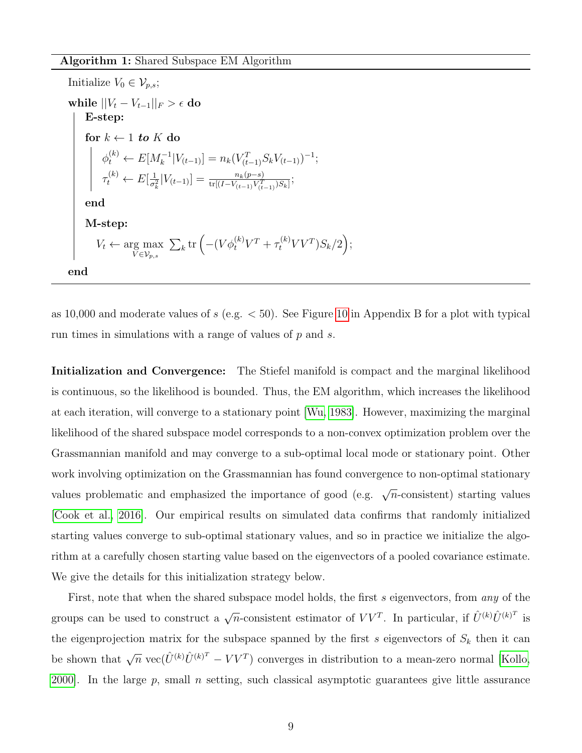Algorithm 1: Shared Subspace EM Algorithm

Initialize  $V_0 \in \mathcal{V}_{p,s};$ while  $||V_t - V_{t-1}||_F > \epsilon$  do E-step: for  $k \leftarrow 1$  to K do  $\phi_t^{(k)} \leftarrow E[M_k^{-1}|V_{(t-1)}] = n_k(V_{(t-1)}^T S_k V_{(t-1)})^{-1};$  $\tau_t^{(k)} \leftarrow E[\frac{1}{\sigma_t^2}]$  $\frac{1}{\sigma_k^2} |V_{(t-1)}| = \frac{n_k(p-s)}{\text{tr}[(I - V_{(t-1)}V_{(t-1)}^T)S_k]};$ end M-step:  $V_t \leftarrow \arg \max$  $V \in \mathcal{V}_{p,s}$  $\sum_{k}$ tr  $(- (V \phi_t^{(k)} V^T + \tau_t^{(k)} V V^T) S_k / 2);$ end

<span id="page-8-0"></span>as [10](#page-37-0),000 and moderate values of  $s$  (e.g.  $<$  50). See Figure 10 in Appendix B for a plot with typical run times in simulations with a range of values of p and s.

Initialization and Convergence: The Stiefel manifold is compact and the marginal likelihood is continuous, so the likelihood is bounded. Thus, the EM algorithm, which increases the likelihood at each iteration, will converge to a stationary point [\[Wu, 1983\]](#page-44-5). However, maximizing the marginal likelihood of the shared subspace model corresponds to a non-convex optimization problem over the Grassmannian manifold and may converge to a sub-optimal local mode or stationary point. Other work involving optimization on the Grassmannian has found convergence to non-optimal stationary values problematic and emphasized the importance of good (e.g.  $\sqrt{n}$ -consistent) starting values [\[Cook et al., 2016\]](#page-40-8). Our empirical results on simulated data confirms that randomly initialized starting values converge to sub-optimal stationary values, and so in practice we initialize the algorithm at a carefully chosen starting value based on the eigenvectors of a pooled covariance estimate. We give the details for this initialization strategy below.

First, note that when the shared subspace model holds, the first s eigenvectors, from any of the groups can be used to construct a  $\sqrt{n}$ -consistent estimator of  $VV^T$ . In particular, if  $\hat{U}^{(k)}\hat{U}^{(k)T}$  is the eigenprojection matrix for the subspace spanned by the first s eigenvectors of  $S_k$  then it can be shown that  $\sqrt{n} \text{ vec}(\hat{U}^{(k)}\hat{U}^{(k)^T} - VV^T)$  converges in distribution to a mean-zero normal [\[Kollo,](#page-42-7) 2000. In the large  $p$ , small  $n$  setting, such classical asymptotic guarantees give little assurance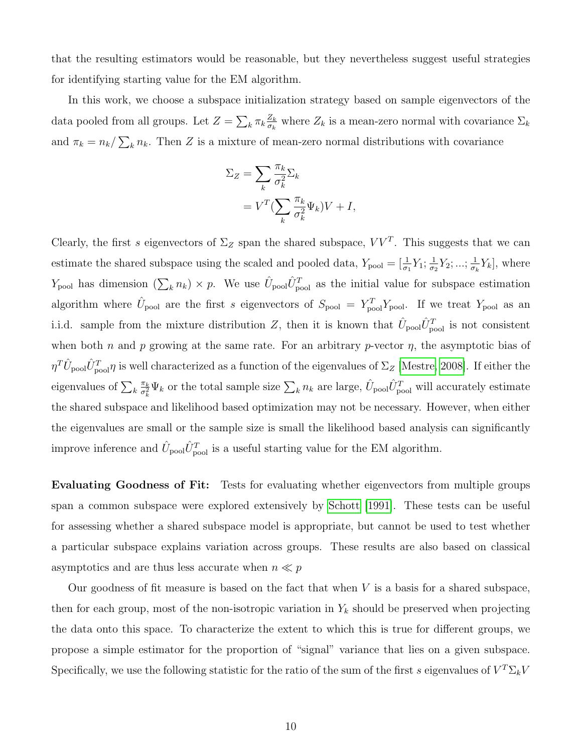that the resulting estimators would be reasonable, but they nevertheless suggest useful strategies for identifying starting value for the EM algorithm.

In this work, we choose a subspace initialization strategy based on sample eigenvectors of the data pooled from all groups. Let  $Z = \sum_{k} \pi_k \frac{Z_k}{\sigma_k}$  $\frac{Z_k}{\sigma_k}$  where  $Z_k$  is a mean-zero normal with covariance  $\Sigma_k$ and  $\pi_k = n_k / \sum_k n_k$ . Then Z is a mixture of mean-zero normal distributions with covariance

$$
\Sigma_Z = \sum_k \frac{\pi_k}{\sigma_k^2} \Sigma_k
$$
  
=  $V^T (\sum_k \frac{\pi_k}{\sigma_k^2} \Psi_k) V + I,$ 

Clearly, the first s eigenvectors of  $\Sigma_Z$  span the shared subspace,  $VV^T$ . This suggests that we can estimate the shared subspace using the scaled and pooled data,  $Y_{\text{pool}} = \left[\frac{1}{\sigma_1} Y_1; \frac{1}{\sigma_2} Y_2\right]$  $\frac{1}{\sigma_2}Y_2;...;\frac{1}{\sigma_\mu}$  $\frac{1}{\sigma_k} Y_k$ , where  $Y_{\text{pool}}$  has dimension  $(\sum_k n_k) \times p$ . We use  $\hat{U}_{\text{pool}} \hat{U}_{\text{pool}}^T$  as the initial value for subspace estimation algorithm where  $\hat{U}_{\text{pool}}$  are the first s eigenvectors of  $S_{\text{pool}} = Y_{\text{pool}}^T Y_{\text{pool}}$ . If we treat  $Y_{\text{pool}}$  as an i.i.d. sample from the mixture distribution Z, then it is known that  $\hat{U}_{\text{pool}}\hat{U}_{\text{pool}}^T$  is not consistent when both n and p growing at the same rate. For an arbitrary p-vector  $\eta$ , the asymptotic bias of  $\eta^T \hat{U}_{\rm pool} \hat{U}_{\rm pool}^T$  is well characterized as a function of the eigenvalues of  $\Sigma_Z$  [\[Mestre, 2008\]](#page-43-5). If either the eigenvalues of  $\sum_{k} \frac{\pi_k}{\sigma_k^2}$  $\frac{\pi_k}{\sigma_k^2} \Psi_k$  or the total sample size  $\sum_k n_k$  are large,  $\hat{U}_{\text{pool}} \hat{U}_{\text{pool}}^T$  will accurately estimate the shared subspace and likelihood based optimization may not be necessary. However, when either the eigenvalues are small or the sample size is small the likelihood based analysis can significantly improve inference and  $\hat{U}_{\text{pool}} \hat{U}_{\text{pool}}^T$  is a useful starting value for the EM algorithm.

Evaluating Goodness of Fit: Tests for evaluating whether eigenvectors from multiple groups span a common subspace were explored extensively by [Schott](#page-43-0) [\[1991\]](#page-43-0). These tests can be useful for assessing whether a shared subspace model is appropriate, but cannot be used to test whether a particular subspace explains variation across groups. These results are also based on classical asymptotics and are thus less accurate when  $n \ll p$ 

Our goodness of fit measure is based on the fact that when  $V$  is a basis for a shared subspace, then for each group, most of the non-isotropic variation in  $Y_k$  should be preserved when projecting the data onto this space. To characterize the extent to which this is true for different groups, we propose a simple estimator for the proportion of "signal" variance that lies on a given subspace. Specifically, we use the following statistic for the ratio of the sum of the first s eigenvalues of  $V^T \Sigma_k V$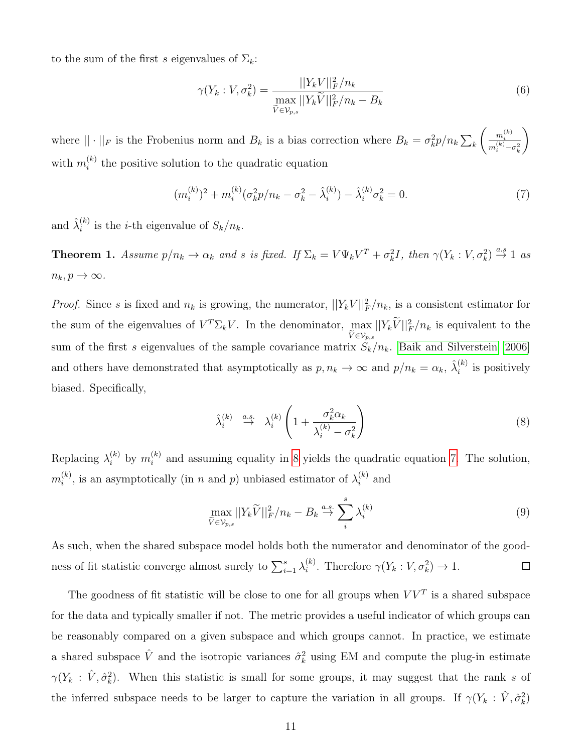to the sum of the first s eigenvalues of  $\Sigma_k$ :

$$
\gamma(Y_k : V, \sigma_k^2) = \frac{||Y_k V||_F^2 / n_k}{\max_{\tilde{V} \in \mathcal{V}_{p,s}} ||Y_k \tilde{V}||_F^2 / n_k - B_k}
$$
(6)

where  $|| \cdot ||_F$  is the Frobenius norm and  $B_k$  is a bias correction where  $B_k = \sigma_k^2 p / n_k \sum_k$  $\left( \begin{array}{c} m_i^{(k)} \end{array} \right)$  $m_i^{(k)} - \sigma_k^2$  $\setminus$ with  $m_i^{(k)}$  $\binom{k}{i}$  the positive solution to the quadratic equation

<span id="page-10-1"></span>
$$
(m_i^{(k)})^2 + m_i^{(k)} (\sigma_k^2 p / n_k - \sigma_k^2 - \hat{\lambda}_i^{(k)}) - \hat{\lambda}_i^{(k)} \sigma_k^2 = 0.
$$
 (7)

and  $\hat{\lambda}_i^{(k)}$  $i^{(k)}$  is the *i*-th eigenvalue of  $S_k/n_k$ .

**Theorem 1.** Assume  $p/n_k \to \alpha_k$  and s is fixed. If  $\Sigma_k = V\Psi_k V^T + \sigma_k^2 I$ , then  $\gamma(Y_k : V, \sigma_k^2) \stackrel{a.s}{\to} 1$  as  $n_k, p \to \infty$ .

*Proof.* Since s is fixed and  $n_k$  is growing, the numerator,  $||Y_k V||_F^2/n_k$ , is a consistent estimator for the sum of the eigenvalues of  $V^T \Sigma_k V$ . In the denominator, max  $\max_{\widetilde{V}\in\mathcal{V}_{p,s}}||Y_k\widetilde{V}||_F^2/n_k$  is equivalent to the sum of the first s eigenvalues of the sample covariance matrix  $S_k/n_k$ . [Baik and Silverstein](#page-40-5) [\[2006\]](#page-40-5) and others have demonstrated that asymptotically as  $p, n_k \to \infty$  and  $p/n_k = \alpha_k, \hat{\lambda}_i^{(k)}$  $i^{(\kappa)}$  is positively biased. Specifically,

<span id="page-10-0"></span>
$$
\hat{\lambda}_i^{(k)} \stackrel{a.s.}{\rightarrow} \lambda_i^{(k)} \left( 1 + \frac{\sigma_k^2 \alpha_k}{\lambda_i^{(k)} - \sigma_k^2} \right) \tag{8}
$$

Replacing  $\lambda_i^{(k)}$  by  $m_i^{(k)}$  $i<sup>(k)</sup>$  and assuming equality in [8](#page-10-0) yields the quadratic equation [7.](#page-10-1) The solution,  $m_i^{(k)}$  $\lambda_i^{(k)}$ , is an asymptotically (in n and p) unbiased estimator of  $\lambda_i^{(k)}$  $i^{(\kappa)}$  and

$$
\max_{\widetilde{V}\in\mathcal{V}_{p,s}}||Y_k\widetilde{V}||_F^2/n_k - B_k \stackrel{a.s.}{\to} \sum_i^s \lambda_i^{(k)} \tag{9}
$$

As such, when the shared subspace model holds both the numerator and denominator of the goodness of fit statistic converge almost surely to  $\sum_{i=1}^{s} \lambda_i^{(k)}$ <sup>(k)</sup>. Therefore  $\gamma(Y_k: V, \sigma_k^2) \to 1$ .  $\Box$ 

The goodness of fit statistic will be close to one for all groups when  $VV<sup>T</sup>$  is a shared subspace for the data and typically smaller if not. The metric provides a useful indicator of which groups can be reasonably compared on a given subspace and which groups cannot. In practice, we estimate a shared subspace  $\hat{V}$  and the isotropic variances  $\hat{\sigma}_k^2$  using EM and compute the plug-in estimate  $\gamma(Y_k : \hat{V}, \hat{\sigma}_k^2)$ . When this statistic is small for some groups, it may suggest that the rank s of the inferred subspace needs to be larger to capture the variation in all groups. If  $\gamma(Y_k : \hat{V}, \hat{\sigma}_k^2)$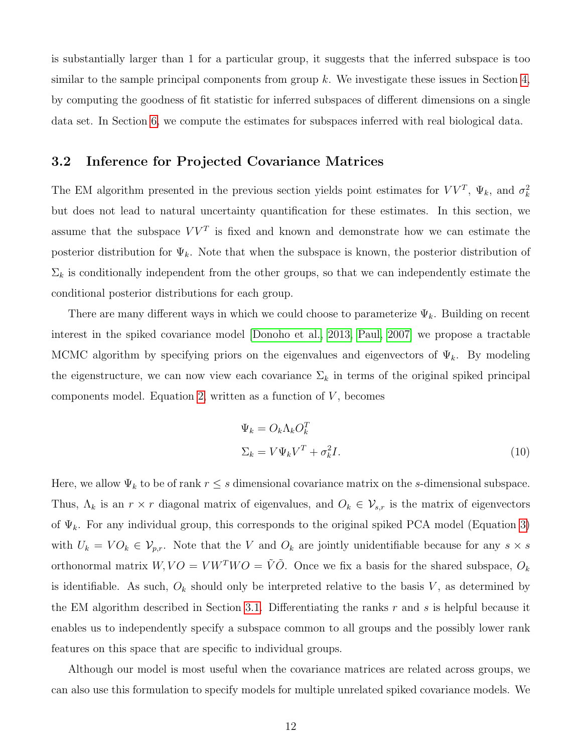is substantially larger than 1 for a particular group, it suggests that the inferred subspace is too similar to the sample principal components from group  $k$ . We investigate these issues in Section [4,](#page-14-0) by computing the goodness of fit statistic for inferred subspaces of different dimensions on a single data set. In Section [6,](#page-22-0) we compute the estimates for subspaces inferred with real biological data.

### <span id="page-11-0"></span>3.2 Inference for Projected Covariance Matrices

The EM algorithm presented in the previous section yields point estimates for  $VV^T$ ,  $\Psi_k$ , and  $\sigma_k^2$ but does not lead to natural uncertainty quantification for these estimates. In this section, we assume that the subspace  $VV<sup>T</sup>$  is fixed and known and demonstrate how we can estimate the posterior distribution for  $\Psi_k$ . Note that when the subspace is known, the posterior distribution of  $\Sigma_k$  is conditionally independent from the other groups, so that we can independently estimate the conditional posterior distributions for each group.

There are many different ways in which we could choose to parameterize  $\Psi_k$ . Building on recent interest in the spiked covariance model [\[Donoho et al., 2013,](#page-41-3) [Paul, 2007\]](#page-43-4) we propose a tractable MCMC algorithm by specifying priors on the eigenvalues and eigenvectors of  $\Psi_k$ . By modeling the eigenstructure, we can now view each covariance  $\Sigma_k$  in terms of the original spiked principal components model. Equation [2,](#page-4-2) written as a function of  $V$ , becomes

$$
\Psi_k = O_k \Lambda_k O_k^T
$$
  

$$
\Sigma_k = V \Psi_k V^T + \sigma_k^2 I.
$$
 (10)

Here, we allow  $\Psi_k$  to be of rank  $r \leq s$  dimensional covariance matrix on the s-dimensional subspace. Thus,  $\Lambda_k$  is an  $r \times r$  diagonal matrix of eigenvalues, and  $O_k \in \mathcal{V}_{s,r}$  is the matrix of eigenvectors of  $\Psi_k$ . For any individual group, this corresponds to the original spiked PCA model (Equation [3\)](#page-4-0) with  $U_k = VO_k \in V_{p,r}$ . Note that the V and  $O_k$  are jointly unidentifiable because for any  $s \times s$ orthonormal matrix  $W, VO = VW^TWO = \tilde{V}\tilde{O}$ . Once we fix a basis for the shared subspace,  $O_k$ is identifiable. As such,  $O_k$  should only be interpreted relative to the basis V, as determined by the EM algorithm described in Section [3.1.](#page-6-1) Differentiating the ranks  $r$  and  $s$  is helpful because it enables us to independently specify a subspace common to all groups and the possibly lower rank features on this space that are specific to individual groups.

Although our model is most useful when the covariance matrices are related across groups, we can also use this formulation to specify models for multiple unrelated spiked covariance models. We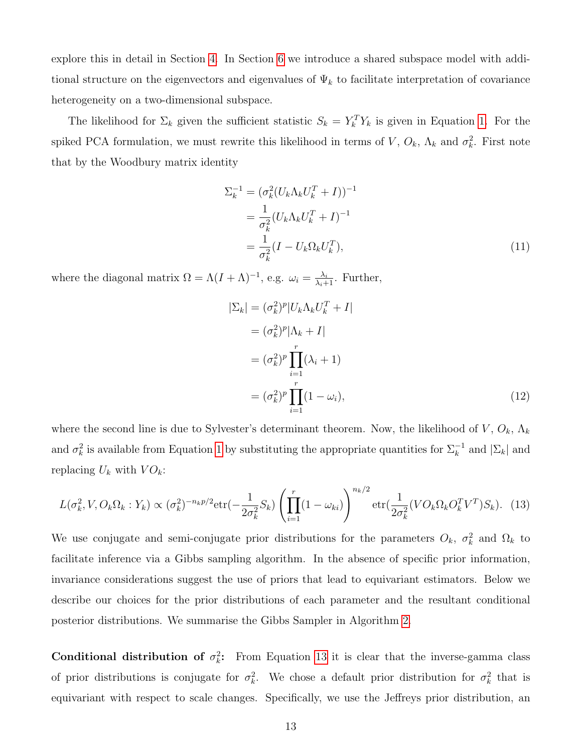explore this in detail in Section [4.](#page-14-0) In Section [6](#page-22-0) we introduce a shared subspace model with additional structure on the eigenvectors and eigenvalues of  $\Psi_k$  to facilitate interpretation of covariance heterogeneity on a two-dimensional subspace.

The likelihood for  $\Sigma_k$  given the sufficient statistic  $S_k = Y_k^T Y_k$  is given in Equation [1.](#page-3-1) For the spiked PCA formulation, we must rewrite this likelihood in terms of V,  $O_k$ ,  $\Lambda_k$  and  $\sigma_k^2$ . First note that by the Woodbury matrix identity

$$
\Sigma_k^{-1} = (\sigma_k^2 (U_k \Lambda_k U_k^T + I))^{-1}
$$
  
= 
$$
\frac{1}{\sigma_k^2} (U_k \Lambda_k U_k^T + I)^{-1}
$$
  
= 
$$
\frac{1}{\sigma_k^2} (I - U_k \Omega_k U_k^T),
$$
 (11)

where the diagonal matrix  $\Omega = \Lambda (I + \Lambda)^{-1}$ , e.g.  $\omega_i = \frac{\lambda_i}{\lambda_i + 1}$ . Further,

$$
|\Sigma_k| = (\sigma_k^2)^p |U_k \Lambda_k U_k^T + I|
$$
  
\n
$$
= (\sigma_k^2)^p |\Lambda_k + I|
$$
  
\n
$$
= (\sigma_k^2)^p \prod_{i=1}^r (\lambda_i + 1)
$$
  
\n
$$
= (\sigma_k^2)^p \prod_{i=1}^r (1 - \omega_i),
$$
\n(12)

where the second line is due to Sylvester's determinant theorem. Now, the likelihood of  $V, O_k, \Lambda_k$ and  $\sigma_k^2$  is available from Equation [1](#page-3-1) by substituting the appropriate quantities for  $\Sigma_k^{-1}$  and  $|\Sigma_k|$  and replacing  $U_k$  with  $VO_k$ :

<span id="page-12-0"></span>
$$
L(\sigma_k^2, V, O_k \Omega_k : Y_k) \propto (\sigma_k^2)^{-n_k p/2} \text{etr}(-\frac{1}{2\sigma_k^2} S_k) \left( \prod_{i=1}^r (1 - \omega_{ki}) \right)^{n_k/2} \text{etr}(\frac{1}{2\sigma_k^2} (VO_k \Omega_k O_k^T V^T) S_k). \tag{13}
$$

We use conjugate and semi-conjugate prior distributions for the parameters  $O_k$ ,  $\sigma_k^2$  and  $\Omega_k$  to facilitate inference via a Gibbs sampling algorithm. In the absence of specific prior information, invariance considerations suggest the use of priors that lead to equivariant estimators. Below we describe our choices for the prior distributions of each parameter and the resultant conditional posterior distributions. We summarise the Gibbs Sampler in Algorithm [2.](#page-14-1)

Conditional distribution of  $\sigma_k^2$ : From Equation [13](#page-12-0) it is clear that the inverse-gamma class of prior distributions is conjugate for  $\sigma_k^2$ . We chose a default prior distribution for  $\sigma_k^2$  that is equivariant with respect to scale changes. Specifically, we use the Jeffreys prior distribution, an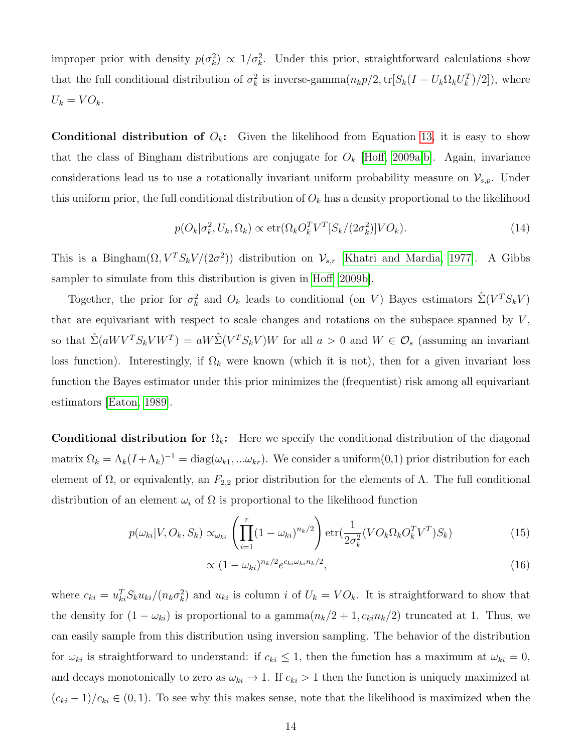improper prior with density  $p(\sigma_k^2) \propto 1/\sigma_k^2$ . Under this prior, straightforward calculations show that the full conditional distribution of  $\sigma_k^2$  is inverse-gamma $(n_k p/2, \text{tr}[S_k(I - U_k \Omega_k U_k^T)/2])$ , where  $U_k = VO_k.$ 

**Conditional distribution of**  $O_k$ **:** Given the likelihood from Equation [13,](#page-12-0) it is easy to show that the class of Bingham distributions are conjugate for  $O_k$  [\[Hoff, 2009a,](#page-41-2)[b\]](#page-41-5). Again, invariance considerations lead us to use a rotationally invariant uniform probability measure on  $\mathcal{V}_{s,p}$ . Under this uniform prior, the full conditional distribution of  $O_k$  has a density proportional to the likelihood

$$
p(O_k | \sigma_k^2, U_k, \Omega_k) \propto \text{etr}(\Omega_k O_k^T V^T [S_k / (2\sigma_k^2)] V O_k). \tag{14}
$$

This is a Bingham $(\Omega, V^T S_k V/(2\sigma^2))$  distribution on  $\mathcal{V}_{s,r}$  [\[Khatri and Mardia, 1977\]](#page-42-8). A Gibbs sampler to simulate from this distribution is given in [Hoff](#page-41-5) [\[2009b\]](#page-41-5).

Together, the prior for  $\sigma_k^2$  and  $O_k$  leads to conditional (on V) Bayes estimators  $\hat{\Sigma}(V^T S_k V)$ that are equivariant with respect to scale changes and rotations on the subspace spanned by  $V$ , so that  $\hat{\Sigma}(aWV^TS_kVW^T) = aW\hat{\Sigma}(V^TS_kV)W$  for all  $a > 0$  and  $W \in \mathcal{O}_s$  (assuming an invariant loss function). Interestingly, if  $\Omega_k$  were known (which it is not), then for a given invariant loss function the Bayes estimator under this prior minimizes the (frequentist) risk among all equivariant estimators [\[Eaton, 1989\]](#page-41-6).

Conditional distribution for  $\Omega_k$ : Here we specify the conditional distribution of the diagonal matrix  $\Omega_k = \Lambda_k (I + \Lambda_k)^{-1} = \text{diag}(\omega_{k1},...\omega_{kr})$ . We consider a uniform  $(0,1)$  prior distribution for each element of  $\Omega$ , or equivalently, an  $F_{2,2}$  prior distribution for the elements of  $\Lambda$ . The full conditional distribution of an element  $\omega_i$  of  $\Omega$  is proportional to the likelihood function

$$
p(\omega_{ki}|V, O_k, S_k) \propto_{\omega_{ki}} \left(\prod_{i=1}^r (1 - \omega_{ki})^{n_k/2}\right) \text{etr}(\frac{1}{2\sigma_k^2} (VO_k \Omega_k O_k^T V^T) S_k)
$$
(15)

$$
\propto (1 - \omega_{ki})^{n_k/2} e^{c_{ki}\omega_{ki}n_k/2},\tag{16}
$$

where  $c_{ki} = u_{ki}^T S_k u_{ki}/(n_k \sigma_k^2)$  and  $u_{ki}$  is column i of  $U_k = VO_k$ . It is straightforward to show that the density for  $(1 - \omega_{ki})$  is proportional to a gamma $(n_k/2 + 1, c_{ki}n_k/2)$  truncated at 1. Thus, we can easily sample from this distribution using inversion sampling. The behavior of the distribution for  $\omega_{ki}$  is straightforward to understand: if  $c_{ki} \leq 1$ , then the function has a maximum at  $\omega_{ki} = 0$ , and decays monotonically to zero as  $\omega_{ki} \to 1$ . If  $c_{ki} > 1$  then the function is uniquely maximized at  $(c_{ki} - 1)/c_{ki} \in (0, 1)$ . To see why this makes sense, note that the likelihood is maximized when the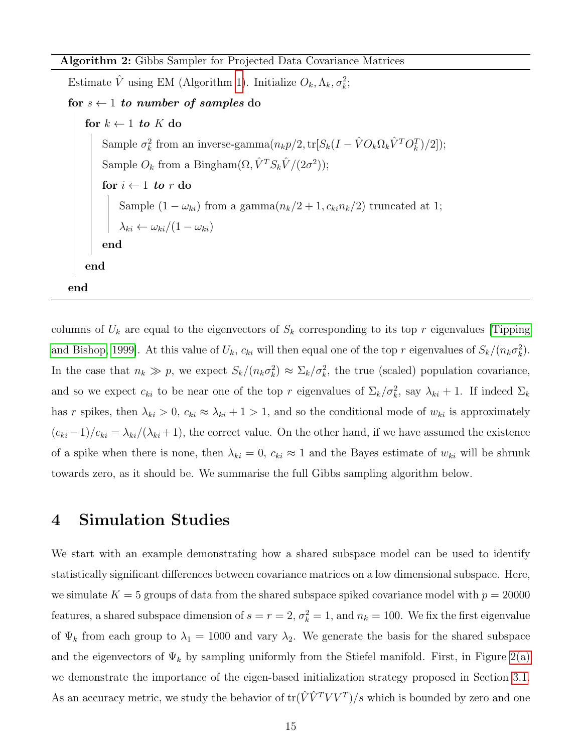Algorithm 2: Gibbs Sampler for Projected Data Covariance Matrices

Estimate  $\hat{V}$  using EM (Algorithm [1\)](#page-8-0). Initialize  $O_k, \Lambda_k, \sigma_k^2$ ;

```
for s \leftarrow 1 to number of samples do
```
for  $k \leftarrow 1$  to K do Sample  $\sigma_k^2$  from an inverse-gamma $(n_k p/2, \text{tr}[S_k(I - \hat{V}O_k \Omega_k \hat{V}^T O_k^T)/2]);$ Sample  $O_k$  from a Bingham $(\Omega, \hat{V}^T S_k \hat{V}/(2\sigma^2));$ for  $i \leftarrow 1$  to r do Sample  $(1 - \omega_{ki})$  from a gamma $(n_k/2 + 1, c_{ki}n_k/2)$  truncated at 1;  $\lambda_{ki} \leftarrow \omega_{ki}/(1-\omega_{ki})$ end end end

<span id="page-14-1"></span>columns of  $U_k$  are equal to the eigenvectors of  $S_k$  corresponding to its top r eigenvalues [\[Tipping](#page-44-6) [and Bishop, 1999\]](#page-44-6). At this value of  $U_k$ ,  $c_{ki}$  will then equal one of the top r eigenvalues of  $S_k/(n_k\sigma_k^2)$ . In the case that  $n_k \gg p$ , we expect  $S_k/(n_k\sigma_k^2) \approx \Sigma_k/\sigma_k^2$ , the true (scaled) population covariance, and so we expect  $c_{ki}$  to be near one of the top r eigenvalues of  $\Sigma_k/\sigma_k^2$ , say  $\lambda_{ki}+1$ . If indeed  $\Sigma_k$ has r spikes, then  $\lambda_{ki} > 0$ ,  $c_{ki} \approx \lambda_{ki} + 1 > 1$ , and so the conditional mode of  $w_{ki}$  is approximately  $(c_{ki}-1)/c_{ki} = \lambda_{ki}/(\lambda_{ki}+1)$ , the correct value. On the other hand, if we have assumed the existence of a spike when there is none, then  $\lambda_{ki} = 0$ ,  $c_{ki} \approx 1$  and the Bayes estimate of  $w_{ki}$  will be shrunk towards zero, as it should be. We summarise the full Gibbs sampling algorithm below.

## <span id="page-14-0"></span>4 Simulation Studies

We start with an example demonstrating how a shared subspace model can be used to identify statistically significant differences between covariance matrices on a low dimensional subspace. Here, we simulate  $K = 5$  groups of data from the shared subspace spiked covariance model with  $p = 20000$ features, a shared subspace dimension of  $s = r = 2$ ,  $\sigma_k^2 = 1$ , and  $n_k = 100$ . We fix the first eigenvalue of  $\Psi_k$  from each group to  $\lambda_1 = 1000$  and vary  $\lambda_2$ . We generate the basis for the shared subspace and the eigenvectors of  $\Psi_k$  by sampling uniformly from the Stiefel manifold. First, in Figure [2\(a\)](#page-29-0) we demonstrate the importance of the eigen-based initialization strategy proposed in Section [3.1.](#page-6-1) As an accuracy metric, we study the behavior of  $\text{tr}(\hat{V}\hat{V}^TVV^T)/s$  which is bounded by zero and one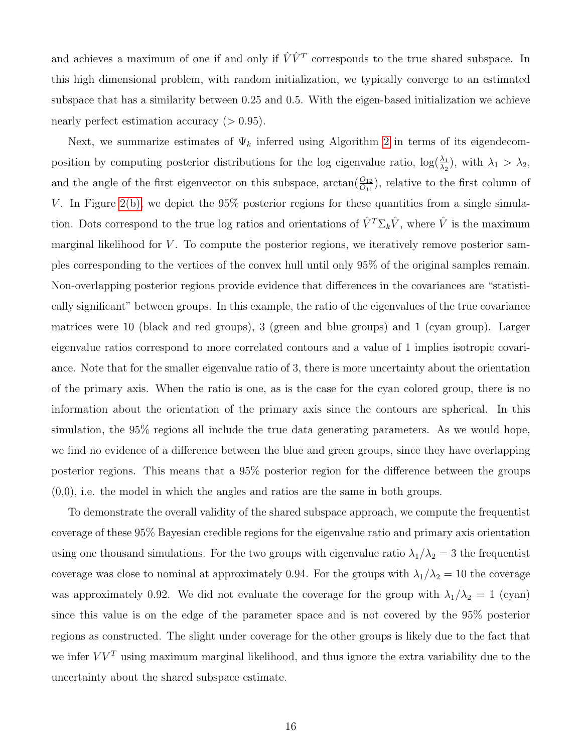and achieves a maximum of one if and only if  $\hat{V}V^T$  corresponds to the true shared subspace. In this high dimensional problem, with random initialization, we typically converge to an estimated subspace that has a similarity between 0.25 and 0.5. With the eigen-based initialization we achieve nearly perfect estimation accuracy  $(>0.95)$ .

Next, we summarize estimates of  $\Psi_k$  inferred using Algorithm [2](#page-14-1) in terms of its eigendecomposition by computing posterior distributions for the log eigenvalue ratio,  $\log(\frac{\lambda_1}{\lambda_2})$ , with  $\lambda_1 > \lambda_2$ , and the angle of the first eigenvector on this subspace,  $arctan(\frac{O_{12}}{O_{11}})$ , relative to the first column of V. In Figure [2\(b\),](#page-29-1) we depict the  $95\%$  posterior regions for these quantities from a single simulation. Dots correspond to the true log ratios and orientations of  $\hat{V}^T \Sigma_k \hat{V}$ , where  $\hat{V}$  is the maximum marginal likelihood for  $V$ . To compute the posterior regions, we iteratively remove posterior samples corresponding to the vertices of the convex hull until only 95% of the original samples remain. Non-overlapping posterior regions provide evidence that differences in the covariances are "statistically significant" between groups. In this example, the ratio of the eigenvalues of the true covariance matrices were 10 (black and red groups), 3 (green and blue groups) and 1 (cyan group). Larger eigenvalue ratios correspond to more correlated contours and a value of 1 implies isotropic covariance. Note that for the smaller eigenvalue ratio of 3, there is more uncertainty about the orientation of the primary axis. When the ratio is one, as is the case for the cyan colored group, there is no information about the orientation of the primary axis since the contours are spherical. In this simulation, the 95% regions all include the true data generating parameters. As we would hope, we find no evidence of a difference between the blue and green groups, since they have overlapping posterior regions. This means that a 95% posterior region for the difference between the groups (0,0), i.e. the model in which the angles and ratios are the same in both groups.

To demonstrate the overall validity of the shared subspace approach, we compute the frequentist coverage of these 95% Bayesian credible regions for the eigenvalue ratio and primary axis orientation using one thousand simulations. For the two groups with eigenvalue ratio  $\lambda_1/\lambda_2 = 3$  the frequentist coverage was close to nominal at approximately 0.94. For the groups with  $\lambda_1/\lambda_2 = 10$  the coverage was approximately 0.92. We did not evaluate the coverage for the group with  $\lambda_1/\lambda_2 = 1$  (cyan) since this value is on the edge of the parameter space and is not covered by the 95% posterior regions as constructed. The slight under coverage for the other groups is likely due to the fact that we infer  $VV<sup>T</sup>$  using maximum marginal likelihood, and thus ignore the extra variability due to the uncertainty about the shared subspace estimate.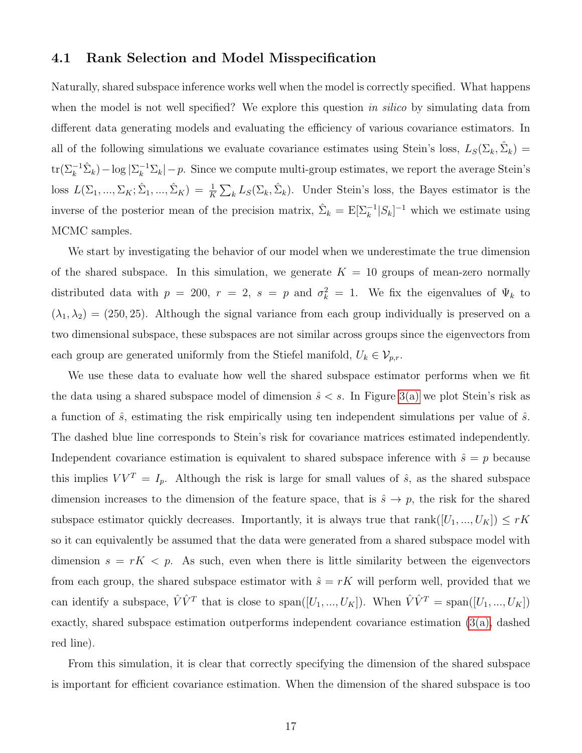#### <span id="page-16-0"></span>4.1 Rank Selection and Model Misspecification

Naturally, shared subspace inference works well when the model is correctly specified. What happens when the model is not well specified? We explore this question in silico by simulating data from different data generating models and evaluating the efficiency of various covariance estimators. In all of the following simulations we evaluate covariance estimates using Stein's loss,  $L_S(\Sigma_k, \hat{\Sigma}_k)$  =  $\text{tr}(\Sigma_k^{-1}\hat{\Sigma}_k) - \log |\Sigma_k^{-1}\Sigma_k| - p$ . Since we compute multi-group estimates, we report the average Stein's loss  $L(\Sigma_1, ..., \Sigma_K; \hat{\Sigma}_1, ..., \hat{\Sigma}_K) = \frac{1}{K} \sum_k L_S(\Sigma_k, \hat{\Sigma}_k)$ . Under Stein's loss, the Bayes estimator is the inverse of the posterior mean of the precision matrix,  $\hat{\Sigma}_k = \mathbb{E}[\Sigma_k^{-1} | S_k]^{-1}$  which we estimate using MCMC samples.

We start by investigating the behavior of our model when we underestimate the true dimension of the shared subspace. In this simulation, we generate  $K = 10$  groups of mean-zero normally distributed data with  $p = 200$ ,  $r = 2$ ,  $s = p$  and  $\sigma_k^2 = 1$ . We fix the eigenvalues of  $\Psi_k$  to  $(\lambda_1, \lambda_2) = (250, 25)$ . Although the signal variance from each group individually is preserved on a two dimensional subspace, these subspaces are not similar across groups since the eigenvectors from each group are generated uniformly from the Stiefel manifold,  $U_k \in V_{p,r}$ .

We use these data to evaluate how well the shared subspace estimator performs when we fit the data using a shared subspace model of dimension  $\hat{s} < s$ . In Figure [3\(a\)](#page-30-0) we plot Stein's risk as a function of  $\hat{s}$ , estimating the risk empirically using ten independent simulations per value of  $\hat{s}$ . The dashed blue line corresponds to Stein's risk for covariance matrices estimated independently. Independent covariance estimation is equivalent to shared subspace inference with  $\hat{s} = p$  because this implies  $VV^T = I_p$ . Although the risk is large for small values of  $\hat{s}$ , as the shared subspace dimension increases to the dimension of the feature space, that is  $\hat{s} \to p$ , the risk for the shared subspace estimator quickly decreases. Importantly, it is always true that rank( $[U_1, ..., U_K]$ )  $\leq rK$ so it can equivalently be assumed that the data were generated from a shared subspace model with dimension  $s = rK < p$ . As such, even when there is little similarity between the eigenvectors from each group, the shared subspace estimator with  $\hat{s} = rK$  will perform well, provided that we can identify a subspace,  $\hat{V}\hat{V}^T$  that is close to span( $[U_1, ..., U_K]$ ). When  $\hat{V}\hat{V}^T = \text{span}([U_1, ..., U_K])$ exactly, shared subspace estimation outperforms independent covariance estimation [\(3\(a\),](#page-30-0) dashed red line).

From this simulation, it is clear that correctly specifying the dimension of the shared subspace is important for efficient covariance estimation. When the dimension of the shared subspace is too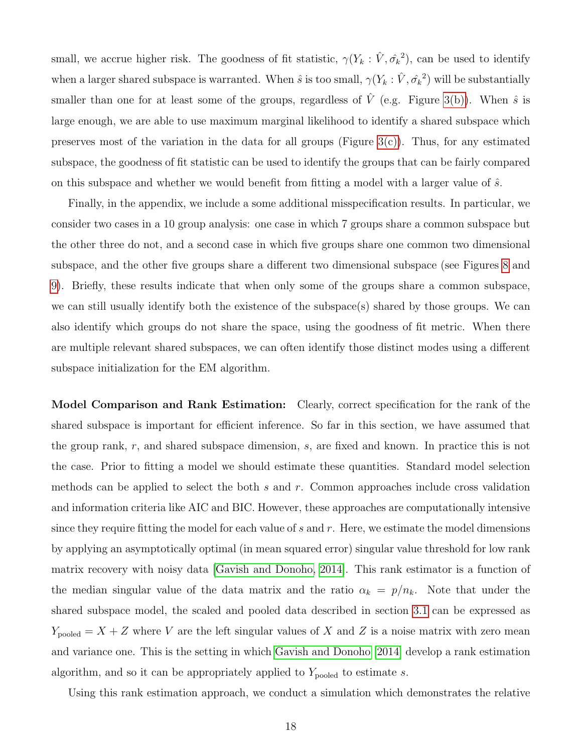small, we accrue higher risk. The goodness of fit statistic,  $\gamma(Y_k : \hat{V}, \hat{\sigma_k}^2)$ , can be used to identify when a larger shared subspace is warranted. When  $\hat{s}$  is too small,  $\gamma(Y_k : \hat{V}, \hat{\sigma_k}^2)$  will be substantially smaller than one for at least some of the groups, regardless of  $\hat{V}$  (e.g. Figure [3\(b\)\)](#page-30-1). When  $\hat{s}$  is large enough, we are able to use maximum marginal likelihood to identify a shared subspace which preserves most of the variation in the data for all groups (Figure  $3(c)$ ). Thus, for any estimated subspace, the goodness of fit statistic can be used to identify the groups that can be fairly compared on this subspace and whether we would benefit from fitting a model with a larger value of  $\hat{s}$ .

Finally, in the appendix, we include a some additional misspecification results. In particular, we consider two cases in a 10 group analysis: one case in which 7 groups share a common subspace but the other three do not, and a second case in which five groups share one common two dimensional subspace, and the other five groups share a different two dimensional subspace (see Figures [8](#page-35-0) and [9\)](#page-36-0). Briefly, these results indicate that when only some of the groups share a common subspace, we can still usually identify both the existence of the subspace(s) shared by those groups. We can also identify which groups do not share the space, using the goodness of fit metric. When there are multiple relevant shared subspaces, we can often identify those distinct modes using a different subspace initialization for the EM algorithm.

Model Comparison and Rank Estimation: Clearly, correct specification for the rank of the shared subspace is important for efficient inference. So far in this section, we have assumed that the group rank, r, and shared subspace dimension, s, are fixed and known. In practice this is not the case. Prior to fitting a model we should estimate these quantities. Standard model selection methods can be applied to select the both s and r. Common approaches include cross validation and information criteria like AIC and BIC. However, these approaches are computationally intensive since they require fitting the model for each value of  $s$  and  $r$ . Here, we estimate the model dimensions by applying an asymptotically optimal (in mean squared error) singular value threshold for low rank matrix recovery with noisy data [\[Gavish and Donoho, 2014\]](#page-41-7). This rank estimator is a function of the median singular value of the data matrix and the ratio  $\alpha_k = p/n_k$ . Note that under the shared subspace model, the scaled and pooled data described in section [3.1](#page-6-1) can be expressed as  $Y_{pooled} = X + Z$  where V are the left singular values of X and Z is a noise matrix with zero mean and variance one. This is the setting in which [Gavish and Donoho](#page-41-7) [\[2014\]](#page-41-7) develop a rank estimation algorithm, and so it can be appropriately applied to  $Y_{pooled}$  to estimate s.

Using this rank estimation approach, we conduct a simulation which demonstrates the relative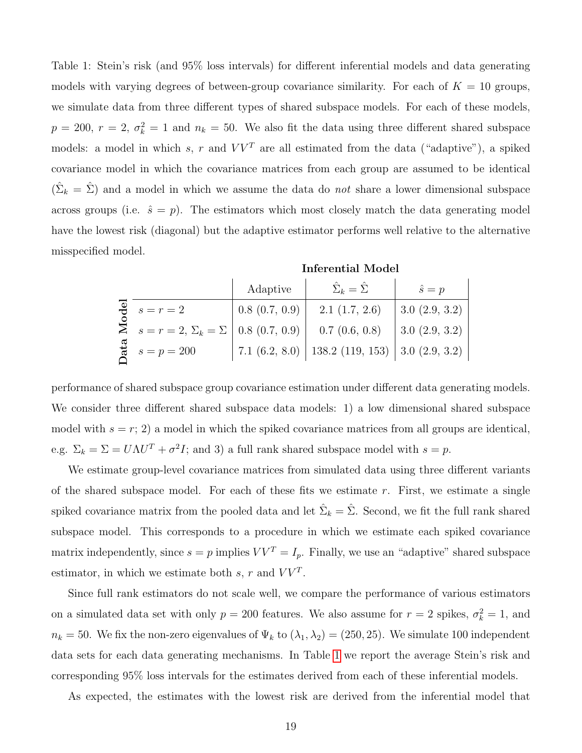<span id="page-18-0"></span>Table 1: Stein's risk (and 95% loss intervals) for different inferential models and data generating models with varying degrees of between-group covariance similarity. For each of  $K = 10$  groups, we simulate data from three different types of shared subspace models. For each of these models,  $p = 200, r = 2, \sigma_k^2 = 1$  and  $n_k = 50$ . We also fit the data using three different shared subspace models: a model in which s, r and  $VV<sup>T</sup>$  are all estimated from the data ("adaptive"), a spiked covariance model in which the covariance matrices from each group are assumed to be identical  $(\hat{\Sigma}_k = \hat{\Sigma})$  and a model in which we assume the data do *not* share a lower dimensional subspace across groups (i.e.  $\hat{s} = p$ ). The estimators which most closely match the data generating model have the lowest risk (diagonal) but the adaptive estimator performs well relative to the alternative misspecified model.

|                                                 | Adaptive      | $\hat{\Sigma}_k = \hat{\Sigma}$                          | $\hat{s} = p$    |
|-------------------------------------------------|---------------|----------------------------------------------------------|------------------|
| $\overline{\mathbf{e}}$ $s=r=2$                 | 0.8(0.7, 0.9) | $2.1$ $(1.7, 2.6)$                                       | 3.0 $(2.9, 3.2)$ |
| $\sum s = r = 2, \sum_k = \sum  0.8(0.7, 0.9) $ |               | 0.7(0.6, 0.8)                                            | 3.0 $(2.9, 3.2)$ |
| $\frac{1}{6}$ $s = p = 200$                     |               | 7.1 $(6.2, 8.0)$   138.2 $(119, 153)$   3.0 $(2.9, 3.2)$ |                  |

performance of shared subspace group covariance estimation under different data generating models. We consider three different shared subspace data models: 1) a low dimensional shared subspace model with  $s = r$ ; 2) a model in which the spiked covariance matrices from all groups are identical, e.g.  $\Sigma_k = \Sigma = U \Lambda U^T + \sigma^2 I$ ; and 3) a full rank shared subspace model with  $s = p$ .

We estimate group-level covariance matrices from simulated data using three different variants of the shared subspace model. For each of these fits we estimate  $r$ . First, we estimate a single spiked covariance matrix from the pooled data and let  $\hat{\Sigma}_k = \hat{\Sigma}$ . Second, we fit the full rank shared subspace model. This corresponds to a procedure in which we estimate each spiked covariance matrix independently, since  $s = p$  implies  $VV^T = I_p$ . Finally, we use an "adaptive" shared subspace estimator, in which we estimate both  $s, r$  and  $VV<sup>T</sup>$ .

Since full rank estimators do not scale well, we compare the performance of various estimators on a simulated data set with only  $p = 200$  features. We also assume for  $r = 2$  spikes,  $\sigma_k^2 = 1$ , and  $n_k = 50$ . We fix the non-zero eigenvalues of  $\Psi_k$  to  $(\lambda_1, \lambda_2) = (250, 25)$ . We simulate 100 independent data sets for each data generating mechanisms. In Table [1](#page-18-0) we report the average Stein's risk and corresponding 95% loss intervals for the estimates derived from each of these inferential models.

As expected, the estimates with the lowest risk are derived from the inferential model that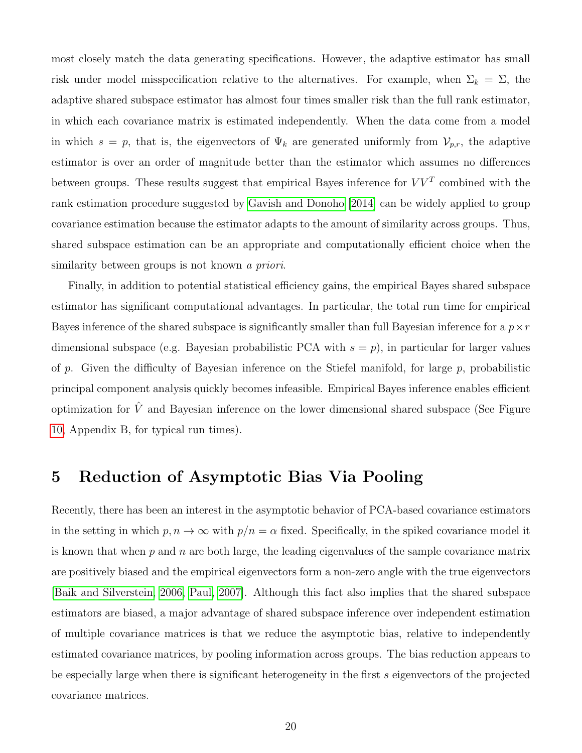most closely match the data generating specifications. However, the adaptive estimator has small risk under model misspecification relative to the alternatives. For example, when  $\Sigma_k = \Sigma$ , the adaptive shared subspace estimator has almost four times smaller risk than the full rank estimator, in which each covariance matrix is estimated independently. When the data come from a model in which  $s = p$ , that is, the eigenvectors of  $\Psi_k$  are generated uniformly from  $V_{p,r}$ , the adaptive estimator is over an order of magnitude better than the estimator which assumes no differences between groups. These results suggest that empirical Bayes inference for  $VV<sup>T</sup>$  combined with the rank estimation procedure suggested by [Gavish and Donoho](#page-41-7) [\[2014\]](#page-41-7) can be widely applied to group covariance estimation because the estimator adapts to the amount of similarity across groups. Thus, shared subspace estimation can be an appropriate and computationally efficient choice when the similarity between groups is not known a priori.

Finally, in addition to potential statistical efficiency gains, the empirical Bayes shared subspace estimator has significant computational advantages. In particular, the total run time for empirical Bayes inference of the shared subspace is significantly smaller than full Bayesian inference for a  $p \times r$ dimensional subspace (e.g. Bayesian probabilistic PCA with  $s = p$ ), in particular for larger values of p. Given the difficulty of Bayesian inference on the Stiefel manifold, for large p, probabilistic principal component analysis quickly becomes infeasible. Empirical Bayes inference enables efficient optimization for  $\hat{V}$  and Bayesian inference on the lower dimensional shared subspace (See Figure [10,](#page-37-0) Appendix B, for typical run times).

## <span id="page-19-0"></span>5 Reduction of Asymptotic Bias Via Pooling

Recently, there has been an interest in the asymptotic behavior of PCA-based covariance estimators in the setting in which  $p, n \to \infty$  with  $p/n = \alpha$  fixed. Specifically, in the spiked covariance model it is known that when  $p$  and  $n$  are both large, the leading eigenvalues of the sample covariance matrix are positively biased and the empirical eigenvectors form a non-zero angle with the true eigenvectors [\[Baik and Silverstein, 2006,](#page-40-5) [Paul, 2007\]](#page-43-4). Although this fact also implies that the shared subspace estimators are biased, a major advantage of shared subspace inference over independent estimation of multiple covariance matrices is that we reduce the asymptotic bias, relative to independently estimated covariance matrices, by pooling information across groups. The bias reduction appears to be especially large when there is significant heterogeneity in the first s eigenvectors of the projected covariance matrices.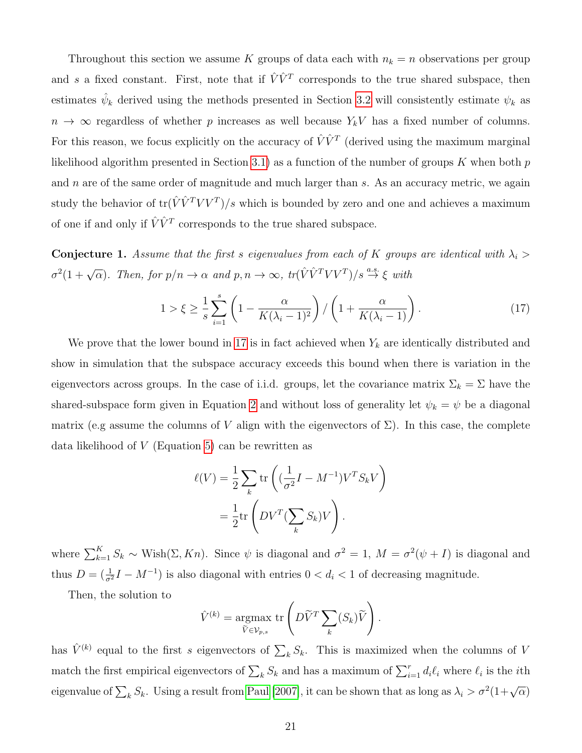Throughout this section we assume K groups of data each with  $n_k = n$  observations per group and s a fixed constant. First, note that if  $\hat{V}\hat{V}^T$  corresponds to the true shared subspace, then estimates  $\hat{\psi}_k$  derived using the methods presented in Section [3.2](#page-11-0) will consistently estimate  $\psi_k$  as  $n \to \infty$  regardless of whether p increases as well because  $Y_kV$  has a fixed number of columns. For this reason, we focus explicitly on the accuracy of  $\hat{V} \hat{V}^T$  (derived using the maximum marginal likelihood algorithm presented in Section [3.1\)](#page-6-1) as a function of the number of groups  $K$  when both  $p$ and  $n$  are of the same order of magnitude and much larger than  $s$ . As an accuracy metric, we again study the behavior of  $\text{tr}(\hat{V}\hat{V}^TVV^T)/s$  which is bounded by zero and one and achieves a maximum of one if and only if  $\hat{V}\hat{V}^T$  corresponds to the true shared subspace.

**Conjecture 1.** Assume that the first s eigenvalues from each of K groups are identical with  $\lambda_i$  $\sigma^2(1+\sqrt{\alpha})$ . Then, for  $p/n \to \alpha$  and  $p,n \to \infty$ ,  $tr(\hat{V}\hat{V}^T V V^T)/s \stackrel{a.s.}{\to} \xi$  with

<span id="page-20-0"></span>
$$
1 > \xi \ge \frac{1}{s} \sum_{i=1}^{s} \left( 1 - \frac{\alpha}{K(\lambda_i - 1)^2} \right) / \left( 1 + \frac{\alpha}{K(\lambda_i - 1)} \right). \tag{17}
$$

We prove that the lower bound in [17](#page-20-0) is in fact achieved when  $Y_k$  are identically distributed and show in simulation that the subspace accuracy exceeds this bound when there is variation in the eigenvectors across groups. In the case of i.i.d. groups, let the covariance matrix  $\Sigma_k = \Sigma$  have the shared-subspace form given in Equation [2](#page-4-2) and without loss of generality let  $\psi_k = \psi$  be a diagonal matrix (e.g assume the columns of V align with the eigenvectors of  $\Sigma$ ). In this case, the complete data likelihood of  $V$  (Equation [5\)](#page-7-0) can be rewritten as

$$
\ell(V) = \frac{1}{2} \sum_{k} \text{tr}\left((\frac{1}{\sigma^2}I - M^{-1})V^T S_k V\right)
$$

$$
= \frac{1}{2} \text{tr}\left(DV^T (\sum_{k} S_k) V\right).
$$

where  $\sum_{k=1}^{K} S_k \sim \text{Wish}(\Sigma, Kn)$ . Since  $\psi$  is diagonal and  $\sigma^2 = 1$ ,  $M = \sigma^2(\psi + I)$  is diagonal and thus  $D = (\frac{1}{\sigma^2}I - M^{-1})$  is also diagonal with entries  $0 < d_i < 1$  of decreasing magnitude.

Then, the solution to

$$
\hat{V}^{(k)} = \underset{\widetilde{V} \in \mathcal{V}_{p,s}}{\operatorname{argmax}} \operatorname{tr} \left( D\widetilde{V}^T \sum_{k} (S_k) \widetilde{V} \right).
$$

has  $\hat{V}^{(k)}$  equal to the first s eigenvectors of  $\sum_{k} S_k$ . This is maximized when the columns of V match the first empirical eigenvectors of  $\sum_k S_k$  and has a maximum of  $\sum_{i=1}^r d_i \ell_i$  where  $\ell_i$  is the *i*th eigenvalue of  $\sum_k S_k$ . Using a result from [Paul](#page-43-4) [\[2007\]](#page-43-4), it can be shown that as long as  $\lambda_i > \sigma^2(1+\sqrt{\alpha})$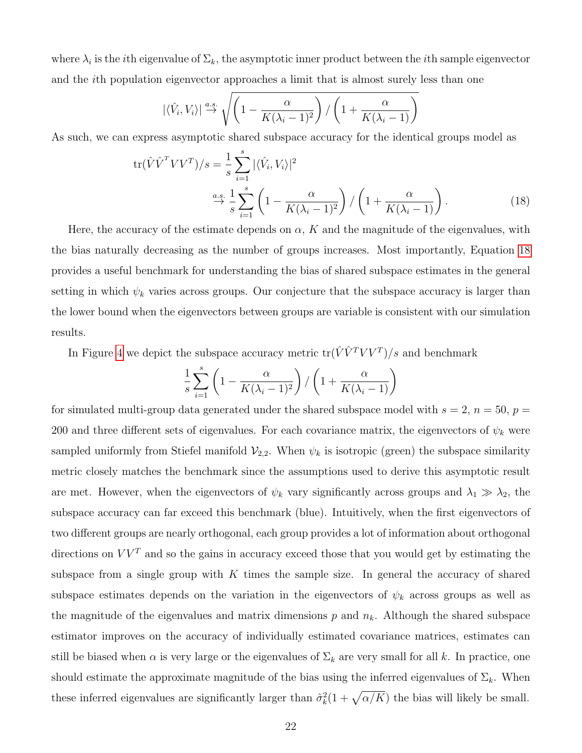where  $\lambda_i$  is the *i*th eigenvalue of  $\Sigma_k$ , the asymptotic inner product between the *i*th sample eigenvector and the ith population eigenvector approaches a limit that is almost surely less than one

<span id="page-21-0"></span>
$$
|\langle \hat{V}_i, V_i \rangle| \stackrel{a.s.}{\rightarrow} \sqrt{\left(1 - \frac{\alpha}{K(\lambda_i - 1)^2}\right) / \left(1 + \frac{\alpha}{K(\lambda_i - 1)}\right)}
$$

As such, we can express asymptotic shared subspace accuracy for the identical groups model as

$$
\operatorname{tr}(\hat{V}\hat{V}^T V V^T)/s = \frac{1}{s} \sum_{i=1}^s |\langle \hat{V}_i, V_i \rangle|^2
$$
  

$$
\xrightarrow{\alpha.s.} \frac{1}{s} \sum_{i=1}^s \left(1 - \frac{\alpha}{K(\lambda_i - 1)^2}\right) / \left(1 + \frac{\alpha}{K(\lambda_i - 1)}\right). \tag{18}
$$

Here, the accuracy of the estimate depends on  $\alpha$ , K and the magnitude of the eigenvalues, with the bias naturally decreasing as the number of groups increases. Most importantly, Equation [18](#page-21-0) provides a useful benchmark for understanding the bias of shared subspace estimates in the general setting in which  $\psi_k$  varies across groups. Our conjecture that the subspace accuracy is larger than the lower bound when the eigenvectors between groups are variable is consistent with our simulation results.

In Figure [4](#page-31-0) we depict the subspace accuracy metric  $\text{tr}(\hat{V} \hat{V}^T V V^T)/s$  and benchmark

$$
\frac{1}{s} \sum_{i=1}^{s} \left( 1 - \frac{\alpha}{K(\lambda_i - 1)^2} \right) / \left( 1 + \frac{\alpha}{K(\lambda_i - 1)} \right)
$$

for simulated multi-group data generated under the shared subspace model with  $s = 2$ ,  $n = 50$ ,  $p =$ 200 and three different sets of eigenvalues. For each covariance matrix, the eigenvectors of  $\psi_k$  were sampled uniformly from Stiefel manifold  $\mathcal{V}_{2,2}$ . When  $\psi_k$  is isotropic (green) the subspace similarity metric closely matches the benchmark since the assumptions used to derive this asymptotic result are met. However, when the eigenvectors of  $\psi_k$  vary significantly across groups and  $\lambda_1 \gg \lambda_2$ , the subspace accuracy can far exceed this benchmark (blue). Intuitively, when the first eigenvectors of two different groups are nearly orthogonal, each group provides a lot of information about orthogonal directions on  $VV^T$  and so the gains in accuracy exceed those that you would get by estimating the subspace from a single group with  $K$  times the sample size. In general the accuracy of shared subspace estimates depends on the variation in the eigenvectors of  $\psi_k$  across groups as well as the magnitude of the eigenvalues and matrix dimensions  $p$  and  $n_k$ . Although the shared subspace estimator improves on the accuracy of individually estimated covariance matrices, estimates can still be biased when  $\alpha$  is very large or the eigenvalues of  $\Sigma_k$  are very small for all k. In practice, one should estimate the approximate magnitude of the bias using the inferred eigenvalues of  $\Sigma_k$ . When these inferred eigenvalues are significantly larger than  $\hat{\sigma}_k^2(1+\sqrt{\alpha/K})$  the bias will likely be small.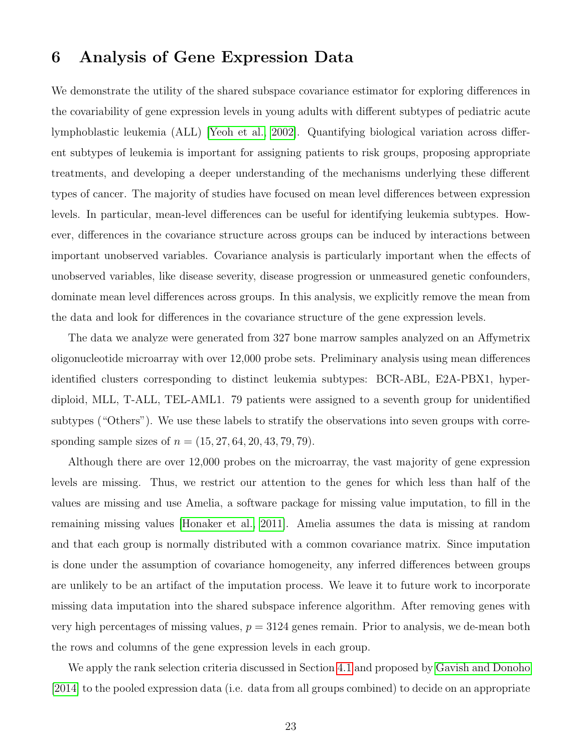## <span id="page-22-0"></span>6 Analysis of Gene Expression Data

We demonstrate the utility of the shared subspace covariance estimator for exploring differences in the covariability of gene expression levels in young adults with different subtypes of pediatric acute lymphoblastic leukemia (ALL) [\[Yeoh et al., 2002\]](#page-44-7). Quantifying biological variation across different subtypes of leukemia is important for assigning patients to risk groups, proposing appropriate treatments, and developing a deeper understanding of the mechanisms underlying these different types of cancer. The majority of studies have focused on mean level differences between expression levels. In particular, mean-level differences can be useful for identifying leukemia subtypes. However, differences in the covariance structure across groups can be induced by interactions between important unobserved variables. Covariance analysis is particularly important when the effects of unobserved variables, like disease severity, disease progression or unmeasured genetic confounders, dominate mean level differences across groups. In this analysis, we explicitly remove the mean from the data and look for differences in the covariance structure of the gene expression levels.

The data we analyze were generated from 327 bone marrow samples analyzed on an Affymetrix oligonucleotide microarray with over 12,000 probe sets. Preliminary analysis using mean differences identified clusters corresponding to distinct leukemia subtypes: BCR-ABL, E2A-PBX1, hyperdiploid, MLL, T-ALL, TEL-AML1. 79 patients were assigned to a seventh group for unidentified subtypes ("Others"). We use these labels to stratify the observations into seven groups with corresponding sample sizes of  $n = (15, 27, 64, 20, 43, 79, 79)$ .

Although there are over 12,000 probes on the microarray, the vast majority of gene expression levels are missing. Thus, we restrict our attention to the genes for which less than half of the values are missing and use Amelia, a software package for missing value imputation, to fill in the remaining missing values [\[Honaker et al., 2011\]](#page-42-9). Amelia assumes the data is missing at random and that each group is normally distributed with a common covariance matrix. Since imputation is done under the assumption of covariance homogeneity, any inferred differences between groups are unlikely to be an artifact of the imputation process. We leave it to future work to incorporate missing data imputation into the shared subspace inference algorithm. After removing genes with very high percentages of missing values,  $p = 3124$  genes remain. Prior to analysis, we de-mean both the rows and columns of the gene expression levels in each group.

We apply the rank selection criteria discussed in Section [4.1](#page-16-0) and proposed by [Gavish and Donoho](#page-41-7) [\[2014\]](#page-41-7) to the pooled expression data (i.e. data from all groups combined) to decide on an appropriate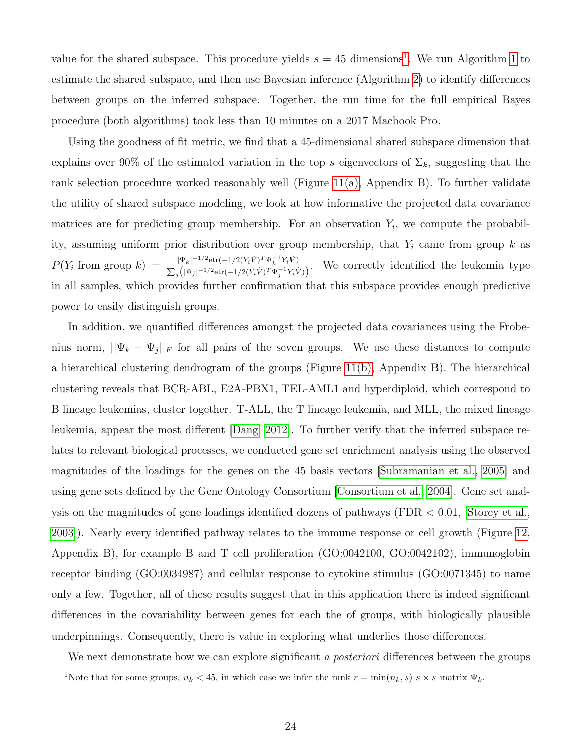value for the shared subspace. This procedure yields  $s = 45$  dimensions<sup>[1](#page-23-0)</sup>. We run Algorithm [1](#page-8-0) to estimate the shared subspace, and then use Bayesian inference (Algorithm [2\)](#page-14-1) to identify differences between groups on the inferred subspace. Together, the run time for the full empirical Bayes procedure (both algorithms) took less than 10 minutes on a 2017 Macbook Pro.

Using the goodness of fit metric, we find that a 45-dimensional shared subspace dimension that explains over 90% of the estimated variation in the top s eigenvectors of  $\Sigma_k$ , suggesting that the rank selection procedure worked reasonably well (Figure  $11(a)$ , Appendix B). To further validate the utility of shared subspace modeling, we look at how informative the projected data covariance matrices are for predicting group membership. For an observation  $Y_i$ , we compute the probability, assuming uniform prior distribution over group membership, that  $Y_i$  came from group k as  $P(Y_i \text{ from group } k) = \frac{|\Psi_k|^{-1/2} \text{etr}(-1/2(Y_i \hat{V})^T \Psi_k^{-1} Y_i \hat{V})}{\sum (|\Psi_k|^{-1/2} \text{etr}'(-1/2(Y_i \hat{V})^T \Psi_k^{-1} Y_i \hat{V})}$  $\frac{|\Psi_k|^{-1/2}$ etr( $-1/2$ ( $Y_iV$ )<sup>-</sup> $\Psi_k$ <sub>r</sub><sup>1</sup>iv)</sup>). We correctly identified the leukemia type in all samples, which provides further confirmation that this subspace provides enough predictive power to easily distinguish groups.

In addition, we quantified differences amongst the projected data covariances using the Frobenius norm,  $||\Psi_k - \Psi_j||_F$  for all pairs of the seven groups. We use these distances to compute a hierarchical clustering dendrogram of the groups (Figure [11\(b\),](#page-38-1) Appendix B). The hierarchical clustering reveals that BCR-ABL, E2A-PBX1, TEL-AML1 and hyperdiploid, which correspond to B lineage leukemias, cluster together. T-ALL, the T lineage leukemia, and MLL, the mixed lineage leukemia, appear the most different [\[Dang, 2012\]](#page-41-8). To further verify that the inferred subspace relates to relevant biological processes, we conducted gene set enrichment analysis using the observed magnitudes of the loadings for the genes on the 45 basis vectors [\[Subramanian et al., 2005\]](#page-44-8) and using gene sets defined by the Gene Ontology Consortium [\[Consortium et al., 2004\]](#page-40-9). Gene set analysis on the magnitudes of gene loadings identified dozens of pathways (FDR < 0.01, [\[Storey et al.,](#page-44-9) [2003\]](#page-44-9)). Nearly every identified pathway relates to the immune response or cell growth (Figure [12,](#page-39-0) Appendix B), for example B and T cell proliferation (GO:0042100, GO:0042102), immunoglobin receptor binding (GO:0034987) and cellular response to cytokine stimulus (GO:0071345) to name only a few. Together, all of these results suggest that in this application there is indeed significant differences in the covariability between genes for each the of groups, with biologically plausible underpinnings. Consequently, there is value in exploring what underlies those differences.

We next demonstrate how we can explore significant a *posteriori* differences between the groups

<span id="page-23-0"></span><sup>&</sup>lt;sup>1</sup>Note that for some groups,  $n_k < 45$ , in which case we infer the rank  $r = \min(n_k, s)$  s  $\times$  s matrix  $\Psi_k$ .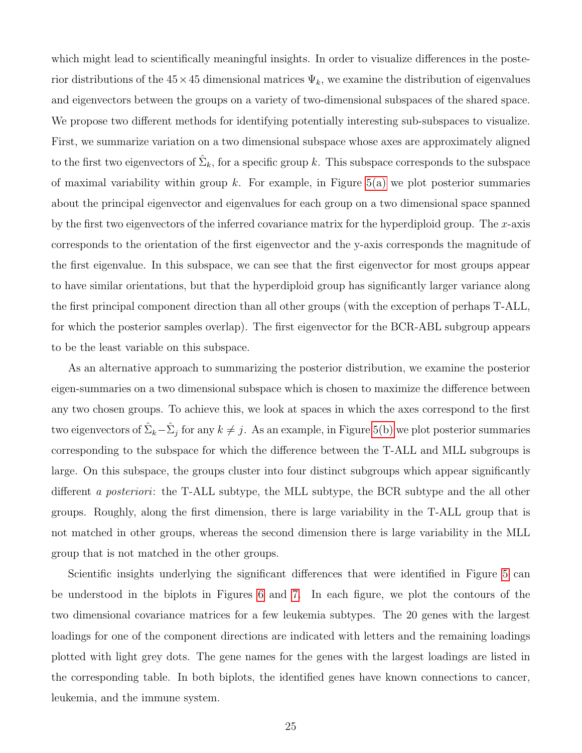which might lead to scientifically meaningful insights. In order to visualize differences in the posterior distributions of the  $45 \times 45$  dimensional matrices  $\Psi_k$ , we examine the distribution of eigenvalues and eigenvectors between the groups on a variety of two-dimensional subspaces of the shared space. We propose two different methods for identifying potentially interesting sub-subspaces to visualize. First, we summarize variation on a two dimensional subspace whose axes are approximately aligned to the first two eigenvectors of  $\hat{\Sigma}_k$ , for a specific group k. This subspace corresponds to the subspace of maximal variability within group  $k$ . For example, in Figure [5\(a\)](#page-32-0) we plot posterior summaries about the principal eigenvector and eigenvalues for each group on a two dimensional space spanned by the first two eigenvectors of the inferred covariance matrix for the hyperdiploid group. The  $x$ -axis corresponds to the orientation of the first eigenvector and the y-axis corresponds the magnitude of the first eigenvalue. In this subspace, we can see that the first eigenvector for most groups appear to have similar orientations, but that the hyperdiploid group has significantly larger variance along the first principal component direction than all other groups (with the exception of perhaps T-ALL, for which the posterior samples overlap). The first eigenvector for the BCR-ABL subgroup appears to be the least variable on this subspace.

As an alternative approach to summarizing the posterior distribution, we examine the posterior eigen-summaries on a two dimensional subspace which is chosen to maximize the difference between any two chosen groups. To achieve this, we look at spaces in which the axes correspond to the first two eigenvectors of  $\hat{\Sigma}_k-\hat{\Sigma}_j$  for any  $k\neq j$ . As an example, in Figure [5\(b\)](#page-32-1) we plot posterior summaries corresponding to the subspace for which the difference between the T-ALL and MLL subgroups is large. On this subspace, the groups cluster into four distinct subgroups which appear significantly different a posteriori: the T-ALL subtype, the MLL subtype, the BCR subtype and the all other groups. Roughly, along the first dimension, there is large variability in the T-ALL group that is not matched in other groups, whereas the second dimension there is large variability in the MLL group that is not matched in the other groups.

Scientific insights underlying the significant differences that were identified in Figure [5](#page-32-2) can be understood in the biplots in Figures [6](#page-33-0) and [7.](#page-34-0) In each figure, we plot the contours of the two dimensional covariance matrices for a few leukemia subtypes. The 20 genes with the largest loadings for one of the component directions are indicated with letters and the remaining loadings plotted with light grey dots. The gene names for the genes with the largest loadings are listed in the corresponding table. In both biplots, the identified genes have known connections to cancer, leukemia, and the immune system.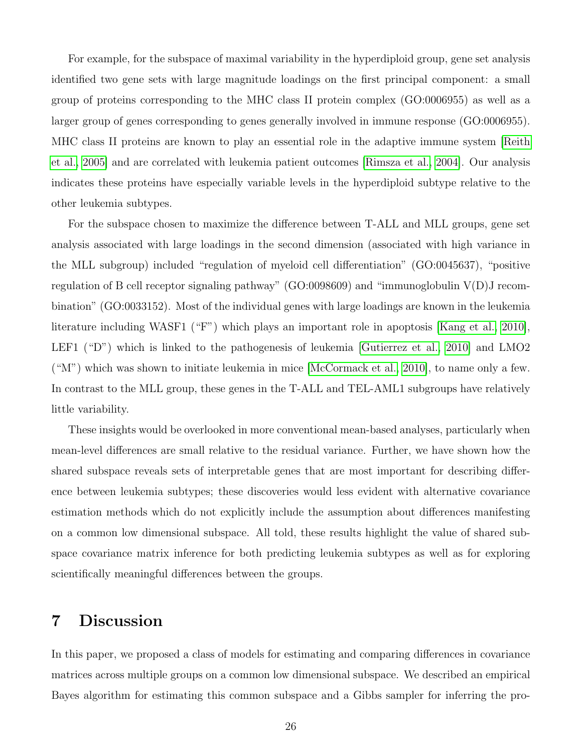For example, for the subspace of maximal variability in the hyperdiploid group, gene set analysis identified two gene sets with large magnitude loadings on the first principal component: a small group of proteins corresponding to the MHC class II protein complex (GO:0006955) as well as a larger group of genes corresponding to genes generally involved in immune response (GO:0006955). MHC class II proteins are known to play an essential role in the adaptive immune system [\[Reith](#page-43-6) [et al., 2005\]](#page-43-6) and are correlated with leukemia patient outcomes [\[Rimsza et al., 2004\]](#page-43-7). Our analysis indicates these proteins have especially variable levels in the hyperdiploid subtype relative to the other leukemia subtypes.

For the subspace chosen to maximize the difference between T-ALL and MLL groups, gene set analysis associated with large loadings in the second dimension (associated with high variance in the MLL subgroup) included "regulation of myeloid cell differentiation" (GO:0045637), "positive regulation of B cell receptor signaling pathway" (GO:0098609) and "immunoglobulin V(D)J recombination" (GO:0033152). Most of the individual genes with large loadings are known in the leukemia literature including WASF1 ("F") which plays an important role in apoptosis [\[Kang et al., 2010\]](#page-42-10), LEF1 ("D") which is linked to the pathogenesis of leukemia [\[Gutierrez et al., 2010\]](#page-41-9) and LMO2 ("M") which was shown to initiate leukemia in mice [\[McCormack et al., 2010\]](#page-43-8), to name only a few. In contrast to the MLL group, these genes in the T-ALL and TEL-AML1 subgroups have relatively little variability.

These insights would be overlooked in more conventional mean-based analyses, particularly when mean-level differences are small relative to the residual variance. Further, we have shown how the shared subspace reveals sets of interpretable genes that are most important for describing difference between leukemia subtypes; these discoveries would less evident with alternative covariance estimation methods which do not explicitly include the assumption about differences manifesting on a common low dimensional subspace. All told, these results highlight the value of shared subspace covariance matrix inference for both predicting leukemia subtypes as well as for exploring scientifically meaningful differences between the groups.

## 7 Discussion

In this paper, we proposed a class of models for estimating and comparing differences in covariance matrices across multiple groups on a common low dimensional subspace. We described an empirical Bayes algorithm for estimating this common subspace and a Gibbs sampler for inferring the pro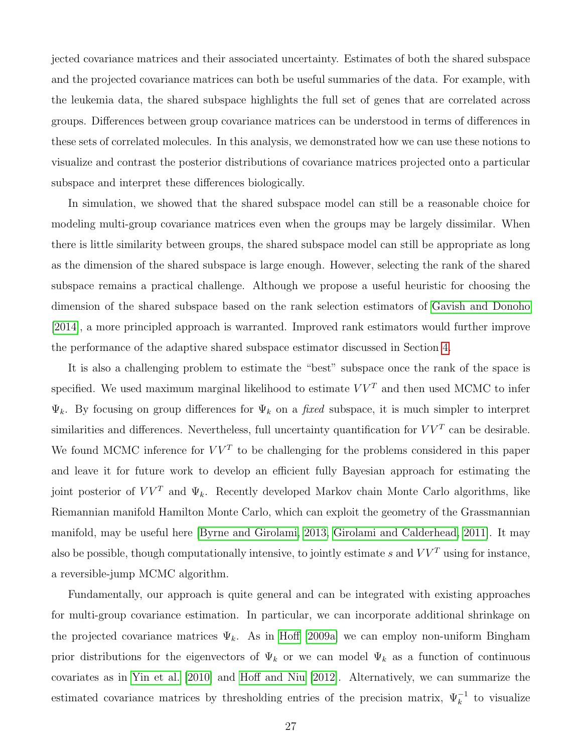jected covariance matrices and their associated uncertainty. Estimates of both the shared subspace and the projected covariance matrices can both be useful summaries of the data. For example, with the leukemia data, the shared subspace highlights the full set of genes that are correlated across groups. Differences between group covariance matrices can be understood in terms of differences in these sets of correlated molecules. In this analysis, we demonstrated how we can use these notions to visualize and contrast the posterior distributions of covariance matrices projected onto a particular subspace and interpret these differences biologically.

In simulation, we showed that the shared subspace model can still be a reasonable choice for modeling multi-group covariance matrices even when the groups may be largely dissimilar. When there is little similarity between groups, the shared subspace model can still be appropriate as long as the dimension of the shared subspace is large enough. However, selecting the rank of the shared subspace remains a practical challenge. Although we propose a useful heuristic for choosing the dimension of the shared subspace based on the rank selection estimators of [Gavish and Donoho](#page-41-7) [\[2014\]](#page-41-7), a more principled approach is warranted. Improved rank estimators would further improve the performance of the adaptive shared subspace estimator discussed in Section [4.](#page-14-0)

It is also a challenging problem to estimate the "best" subspace once the rank of the space is specified. We used maximum marginal likelihood to estimate  $VV<sup>T</sup>$  and then used MCMC to infer  $\Psi_k$ . By focusing on group differences for  $\Psi_k$  on a fixed subspace, it is much simpler to interpret similarities and differences. Nevertheless, full uncertainty quantification for  $VV<sup>T</sup>$  can be desirable. We found MCMC inference for  $VV<sup>T</sup>$  to be challenging for the problems considered in this paper and leave it for future work to develop an efficient fully Bayesian approach for estimating the joint posterior of  $VV^T$  and  $\Psi_k$ . Recently developed Markov chain Monte Carlo algorithms, like Riemannian manifold Hamilton Monte Carlo, which can exploit the geometry of the Grassmannian manifold, may be useful here [\[Byrne and Girolami, 2013,](#page-40-10) [Girolami and Calderhead, 2011\]](#page-41-10). It may also be possible, though computationally intensive, to jointly estimate s and  $VV<sup>T</sup>$  using for instance, a reversible-jump MCMC algorithm.

Fundamentally, our approach is quite general and can be integrated with existing approaches for multi-group covariance estimation. In particular, we can incorporate additional shrinkage on the projected covariance matrices  $\Psi_k$ . As in [Hoff](#page-41-2) [\[2009a\]](#page-41-2) we can employ non-uniform Bingham prior distributions for the eigenvectors of  $\Psi_k$  or we can model  $\Psi_k$  as a function of continuous covariates as in [Yin et al.](#page-44-10) [\[2010\]](#page-44-10) and [Hoff and Niu](#page-42-11) [\[2012\]](#page-42-11). Alternatively, we can summarize the estimated covariance matrices by thresholding entries of the precision matrix,  $\Psi_k^{-1}$  to visualize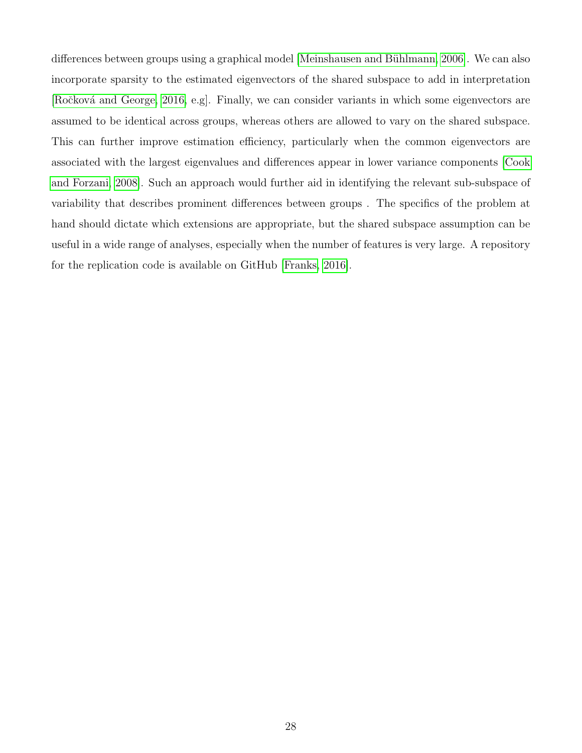differences between groups using a graphical model [Meinshausen and Bühlmann, 2006]. We can also incorporate sparsity to the estimated eigenvectors of the shared subspace to add in interpretation [Ročková and George, 2016, e.g]. Finally, we can consider variants in which some eigenvectors are assumed to be identical across groups, whereas others are allowed to vary on the shared subspace. This can further improve estimation efficiency, particularly when the common eigenvectors are associated with the largest eigenvalues and differences appear in lower variance components [\[Cook](#page-40-4) [and Forzani, 2008\]](#page-40-4). Such an approach would further aid in identifying the relevant sub-subspace of variability that describes prominent differences between groups . The specifics of the problem at hand should dictate which extensions are appropriate, but the shared subspace assumption can be useful in a wide range of analyses, especially when the number of features is very large. A repository for the replication code is available on GitHub [\[Franks, 2016\]](#page-41-11).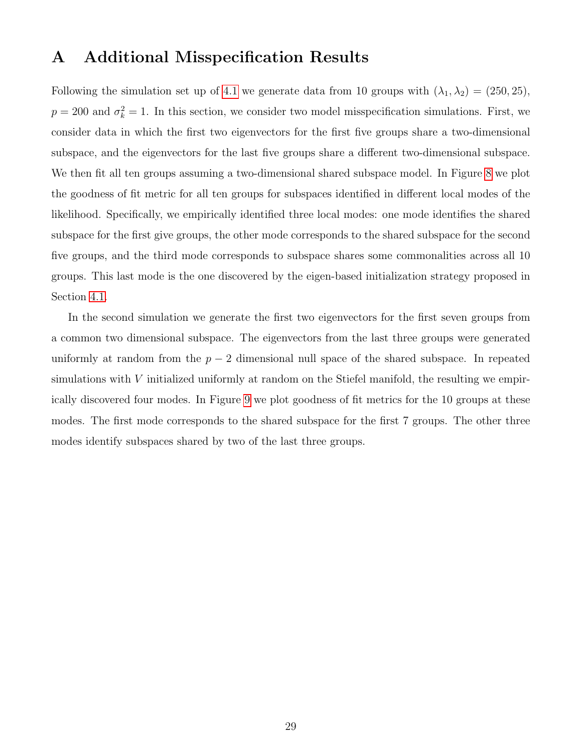## A Additional Misspecification Results

Following the simulation set up of [4.1](#page-16-0) we generate data from 10 groups with  $(\lambda_1, \lambda_2) = (250, 25)$ ,  $p = 200$  and  $\sigma_k^2 = 1$ . In this section, we consider two model misspecification simulations. First, we consider data in which the first two eigenvectors for the first five groups share a two-dimensional subspace, and the eigenvectors for the last five groups share a different two-dimensional subspace. We then fit all ten groups assuming a two-dimensional shared subspace model. In Figure [8](#page-35-0) we plot the goodness of fit metric for all ten groups for subspaces identified in different local modes of the likelihood. Specifically, we empirically identified three local modes: one mode identifies the shared subspace for the first give groups, the other mode corresponds to the shared subspace for the second five groups, and the third mode corresponds to subspace shares some commonalities across all 10 groups. This last mode is the one discovered by the eigen-based initialization strategy proposed in Section [4.1.](#page-16-0)

In the second simulation we generate the first two eigenvectors for the first seven groups from a common two dimensional subspace. The eigenvectors from the last three groups were generated uniformly at random from the  $p-2$  dimensional null space of the shared subspace. In repeated simulations with  $V$  initialized uniformly at random on the Stiefel manifold, the resulting we empirically discovered four modes. In Figure [9](#page-36-0) we plot goodness of fit metrics for the 10 groups at these modes. The first mode corresponds to the shared subspace for the first 7 groups. The other three modes identify subspaces shared by two of the last three groups.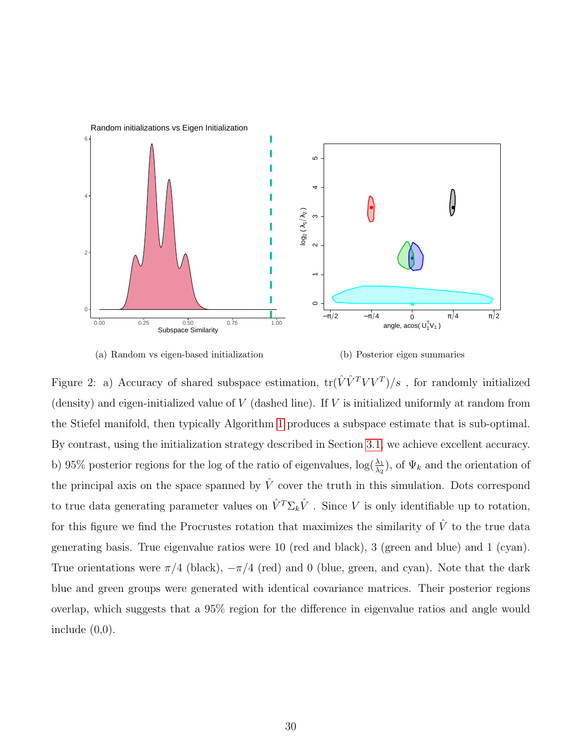<span id="page-29-0"></span>



<span id="page-29-1"></span>(b) Posterior eigen summaries

Figure 2: a) Accuracy of shared subspace estimation,  $\text{tr}(\hat{V} \hat{V}^T V V^T)/s$ , for randomly initialized (density) and eigen-initialized value of  $V$  (dashed line). If  $V$  is initialized uniformly at random from the Stiefel manifold, then typically Algorithm [1](#page-8-0) produces a subspace estimate that is sub-optimal. By contrast, using the initialization strategy described in Section [3.1,](#page-6-1) we achieve excellent accuracy. b) 95% posterior regions for the log of the ratio of eigenvalues,  $\log(\frac{\lambda_1}{\lambda_2})$ , of  $\Psi_k$  and the orientation of the principal axis on the space spanned by  $\hat{V}$  cover the truth in this simulation. Dots correspond to true data generating parameter values on  $\hat{V}^T \Sigma_k \hat{V}$ . Since V is only identifiable up to rotation, for this figure we find the Procrustes rotation that maximizes the similarity of  $\hat{V}$  to the true data generating basis. True eigenvalue ratios were 10 (red and black), 3 (green and blue) and 1 (cyan). True orientations were  $\pi/4$  (black),  $-\pi/4$  (red) and 0 (blue, green, and cyan). Note that the dark blue and green groups were generated with identical covariance matrices. Their posterior regions overlap, which suggests that a 95% region for the difference in eigenvalue ratios and angle would include  $(0,0)$ .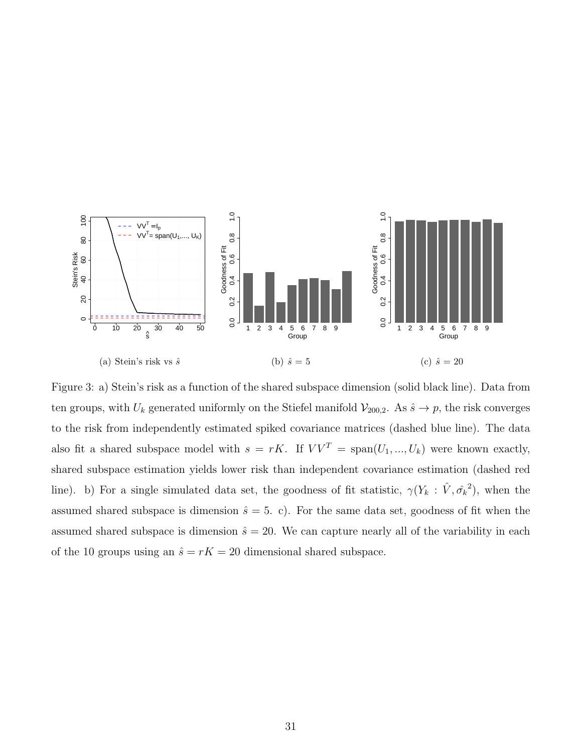<span id="page-30-0"></span>

<span id="page-30-2"></span><span id="page-30-1"></span>Figure 3: a) Stein's risk as a function of the shared subspace dimension (solid black line). Data from ten groups, with  $U_k$  generated uniformly on the Stiefel manifold  $\mathcal{V}_{200,2}$ . As  $\hat{s} \to p$ , the risk converges to the risk from independently estimated spiked covariance matrices (dashed blue line). The data also fit a shared subspace model with  $s = rK$ . If  $VV^T = \text{span}(U_1, ..., U_k)$  were known exactly, shared subspace estimation yields lower risk than independent covariance estimation (dashed red line). b) For a single simulated data set, the goodness of fit statistic,  $\gamma(Y_k : \hat{V}, \hat{\sigma_k}^2)$ , when the assumed shared subspace is dimension  $\hat{s} = 5$ . c). For the same data set, goodness of fit when the assumed shared subspace is dimension  $\hat{s} = 20$ . We can capture nearly all of the variability in each of the 10 groups using an  $\hat{s} = rK = 20$  dimensional shared subspace.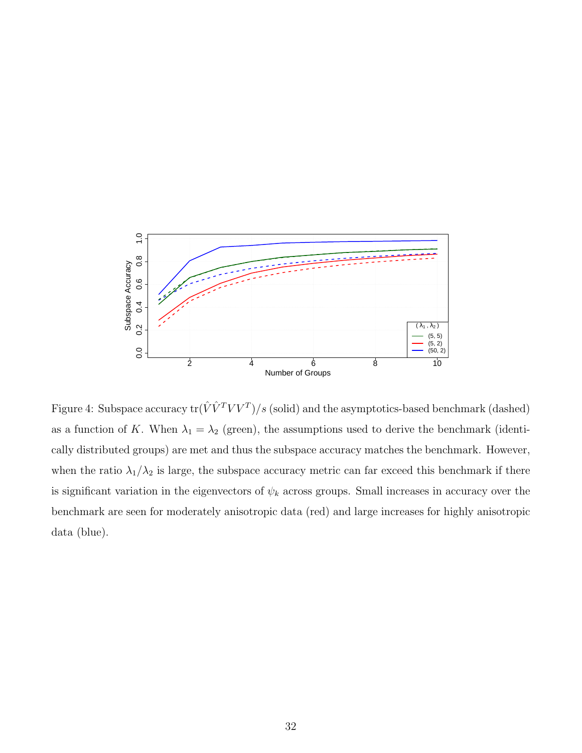

<span id="page-31-0"></span>Figure 4: Subspace accuracy  $\text{tr}(\hat{V}\hat{V}^TVV^T)/s$  (solid) and the asymptotics-based benchmark (dashed) as a function of K. When  $\lambda_1 = \lambda_2$  (green), the assumptions used to derive the benchmark (identically distributed groups) are met and thus the subspace accuracy matches the benchmark. However, when the ratio  $\lambda_1/\lambda_2$  is large, the subspace accuracy metric can far exceed this benchmark if there is significant variation in the eigenvectors of  $\psi_k$  across groups. Small increases in accuracy over the benchmark are seen for moderately anisotropic data (red) and large increases for highly anisotropic data (blue).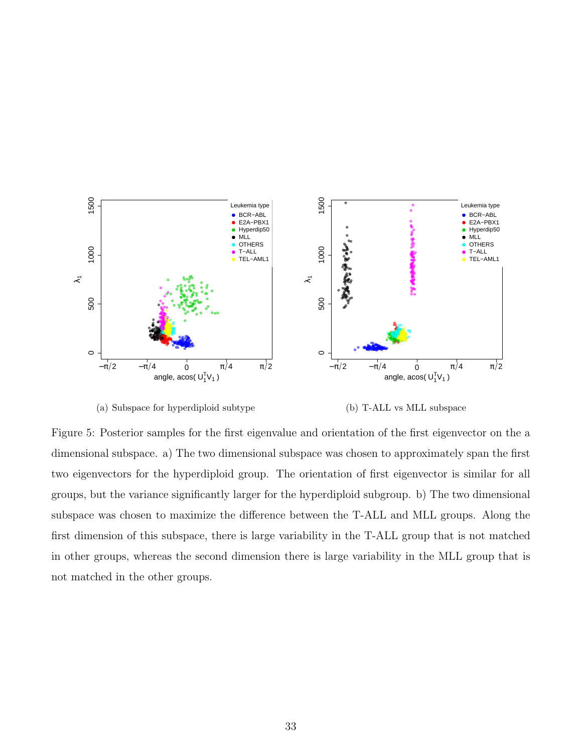<span id="page-32-0"></span>

<span id="page-32-2"></span>(a) Subspace for hyperdiploid subtype

<span id="page-32-1"></span>(b) T-ALL vs MLL subspace

Figure 5: Posterior samples for the first eigenvalue and orientation of the first eigenvector on the a dimensional subspace. a) The two dimensional subspace was chosen to approximately span the first two eigenvectors for the hyperdiploid group. The orientation of first eigenvector is similar for all groups, but the variance significantly larger for the hyperdiploid subgroup. b) The two dimensional subspace was chosen to maximize the difference between the T-ALL and MLL groups. Along the first dimension of this subspace, there is large variability in the T-ALL group that is not matched in other groups, whereas the second dimension there is large variability in the MLL group that is not matched in the other groups.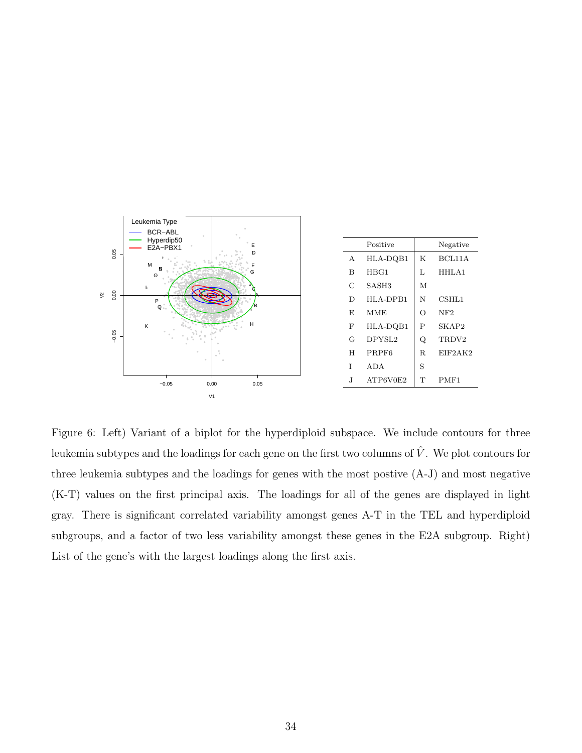

<span id="page-33-0"></span>Figure 6: Left) Variant of a biplot for the hyperdiploid subspace. We include contours for three leukemia subtypes and the loadings for each gene on the first two columns of  $\hat{V}$ . We plot contours for three leukemia subtypes and the loadings for genes with the most postive  $(A-J)$  and most negative (K-T) values on the first principal axis. The loadings for all of the genes are displayed in light gray. There is significant correlated variability amongst genes A-T in the TEL and hyperdiploid subgroups, and a factor of two less variability amongst these genes in the E2A subgroup. Right) List of the gene's with the largest loadings along the first axis.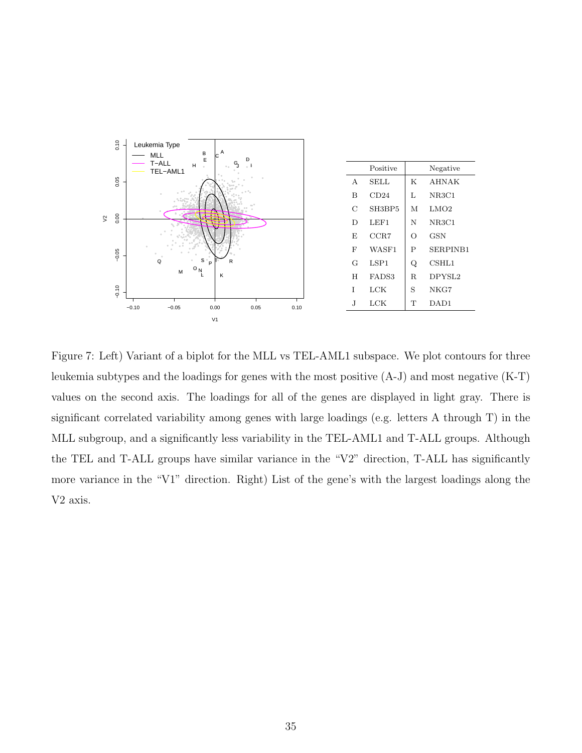

<span id="page-34-0"></span>Figure 7: Left) Variant of a biplot for the MLL vs TEL-AML1 subspace. We plot contours for three leukemia subtypes and the loadings for genes with the most positive  $(A-J)$  and most negative  $(K-T)$ values on the second axis. The loadings for all of the genes are displayed in light gray. There is significant correlated variability among genes with large loadings (e.g. letters A through T) in the MLL subgroup, and a significantly less variability in the TEL-AML1 and T-ALL groups. Although the TEL and T-ALL groups have similar variance in the "V2" direction, T-ALL has significantly more variance in the "V1" direction. Right) List of the gene's with the largest loadings along the V2 axis.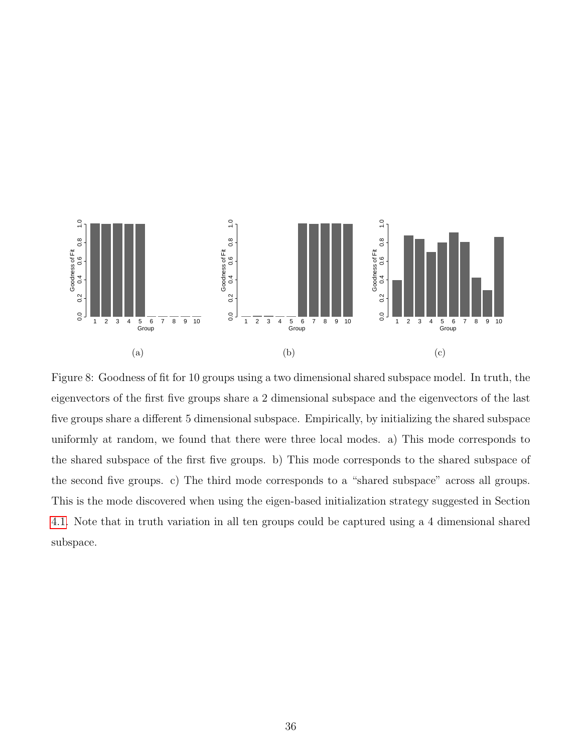

<span id="page-35-0"></span>Figure 8: Goodness of fit for 10 groups using a two dimensional shared subspace model. In truth, the eigenvectors of the first five groups share a 2 dimensional subspace and the eigenvectors of the last five groups share a different 5 dimensional subspace. Empirically, by initializing the shared subspace uniformly at random, we found that there were three local modes. a) This mode corresponds to the shared subspace of the first five groups. b) This mode corresponds to the shared subspace of the second five groups. c) The third mode corresponds to a "shared subspace" across all groups. This is the mode discovered when using the eigen-based initialization strategy suggested in Section [4.1.](#page-16-0) Note that in truth variation in all ten groups could be captured using a 4 dimensional shared subspace.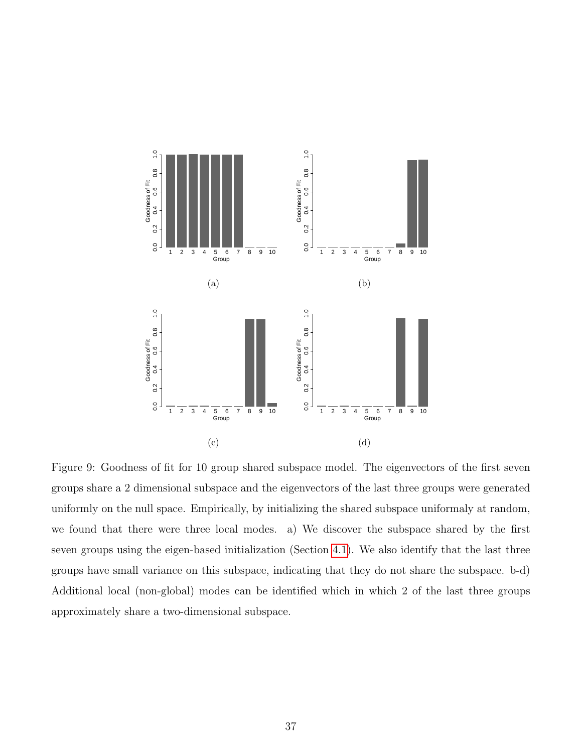

<span id="page-36-0"></span>Figure 9: Goodness of fit for 10 group shared subspace model. The eigenvectors of the first seven groups share a 2 dimensional subspace and the eigenvectors of the last three groups were generated uniformly on the null space. Empirically, by initializing the shared subspace uniformaly at random, we found that there were three local modes. a) We discover the subspace shared by the first seven groups using the eigen-based initialization (Section [4.1\)](#page-16-0). We also identify that the last three groups have small variance on this subspace, indicating that they do not share the subspace. b-d) Additional local (non-global) modes can be identified which in which 2 of the last three groups approximately share a two-dimensional subspace.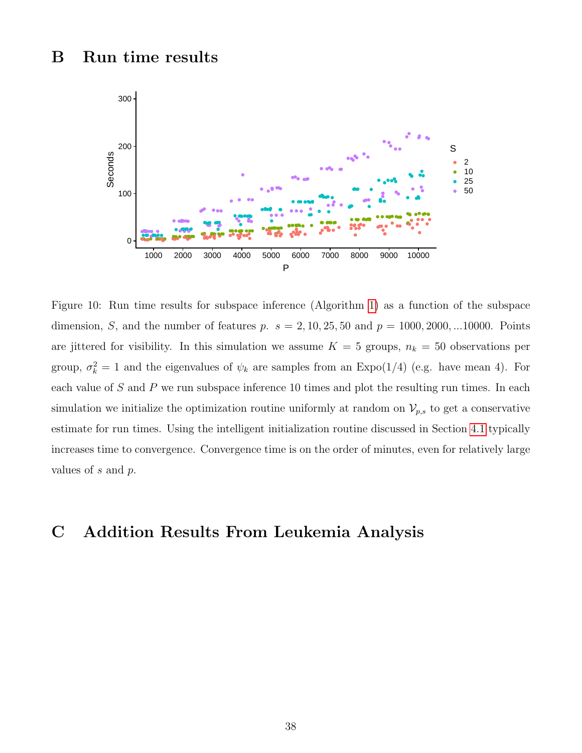## B Run time results



<span id="page-37-0"></span>Figure 10: Run time results for subspace inference (Algorithm [1\)](#page-8-0) as a function of the subspace dimension, *S*, and the number of features *p*.  $s = 2, 10, 25, 50$  and  $p = 1000, 2000, ...10000$ . Points are jittered for visibility. In this simulation we assume  $K = 5$  groups,  $n_k = 50$  observations per group,  $\sigma_k^2 = 1$  and the eigenvalues of  $\psi_k$  are samples from an Expo(1/4) (e.g. have mean 4). For each value of  $S$  and  $P$  we run subspace inference 10 times and plot the resulting run times. In each simulation we initialize the optimization routine uniformly at random on  $\mathcal{V}_{p,s}$  to get a conservative estimate for run times. Using the intelligent initialization routine discussed in Section [4.1](#page-16-0) typically increases time to convergence. Convergence time is on the order of minutes, even for relatively large values of  $s$  and  $p$ .

## C Addition Results From Leukemia Analysis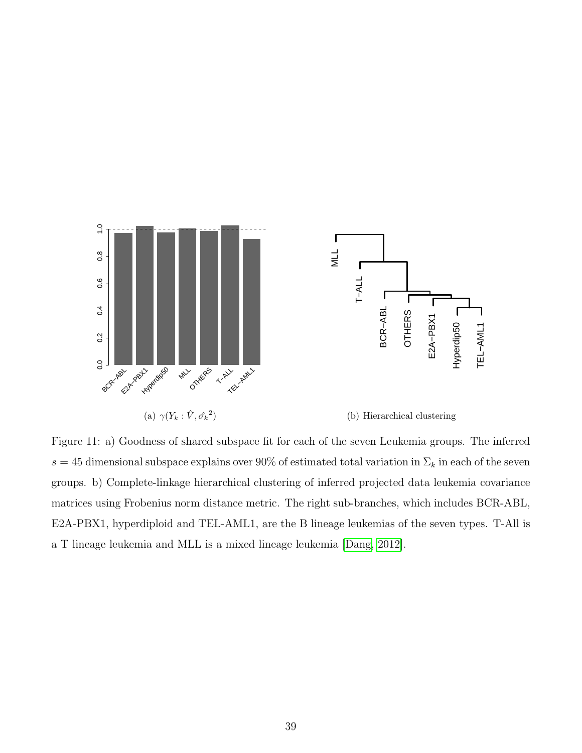<span id="page-38-0"></span>

<span id="page-38-1"></span>Figure 11: a) Goodness of shared subspace fit for each of the seven Leukemia groups. The inferred s = 45 dimensional subspace explains over 90% of estimated total variation in  $\Sigma_k$  in each of the seven groups. b) Complete-linkage hierarchical clustering of inferred projected data leukemia covariance matrices using Frobenius norm distance metric. The right sub-branches, which includes BCR-ABL, E2A-PBX1, hyperdiploid and TEL-AML1, are the B lineage leukemias of the seven types. T-All is a T lineage leukemia and MLL is a mixed lineage leukemia [\[Dang, 2012\]](#page-41-8).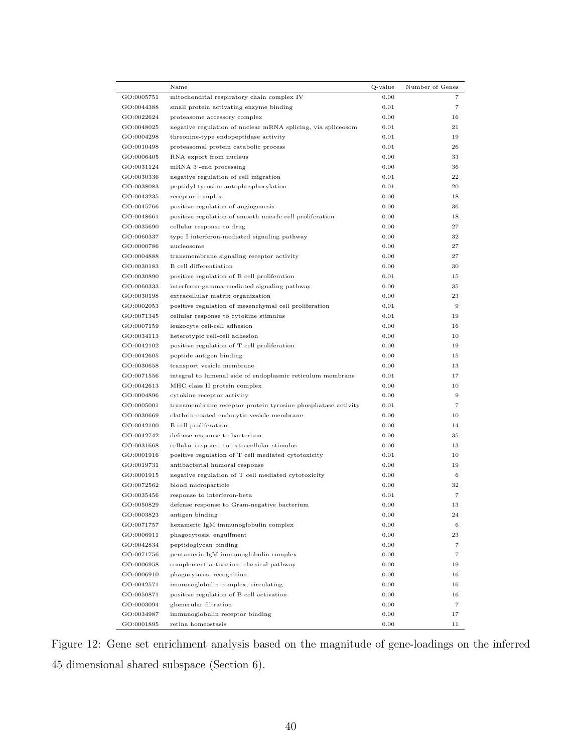|            | Name                                                         | Q-value | Number of Genes   |
|------------|--------------------------------------------------------------|---------|-------------------|
| GO:0005751 | mitochondrial respiratory chain complex IV                   | 0.00    | 7                 |
| GO:0044388 | small protein activating enzyme binding                      | 0.01    | $\overline{7}$    |
| GO:0022624 | proteasome accessory complex                                 | 0.00    | 16                |
| GO:0048025 | negative regulation of nuclear mRNA splicing, via spliceosom | 0.01    | 21                |
| GO:0004298 | threonine-type endopeptidase activity                        | 0.01    | 19                |
| GO:0010498 | proteasomal protein catabolic process                        | 0.01    | 26                |
| GO:0006405 | RNA export from nucleus                                      | 0.00    | 33                |
| GO:0031124 | mRNA 3'-end processing                                       | 0.00    | 36                |
| GO:0030336 | negative regulation of cell migration                        | 0.01    | 22                |
| GO:0038083 | peptidyl-tyrosine autophosphorylation                        | 0.01    | 20                |
| GO:0043235 | receptor complex                                             | 0.00    | 18                |
| GO:0045766 | positive regulation of angiogenesis                          | 0.00    | 36                |
| GO:0048661 | positive regulation of smooth muscle cell proliferation      | 0.00    | 18                |
| GO:0035690 | cellular response to drug                                    | 0.00    | 27                |
| GO:0060337 | type I interferon-mediated signaling pathway                 | 0.00    | 32                |
| GO:0000786 | nucleosome                                                   | 0.00    | 27                |
| GO:0004888 | transmembrane signaling receptor activity                    | 0.00    | 27                |
| GO:0030183 | B cell differentiation                                       | 0.00    | 30                |
| GO:0030890 | positive regulation of B cell proliferation                  | 0.01    | 15                |
| GO:0060333 | interferon-gamma-mediated signaling pathway                  | 0.00    | 35                |
| GO:0030198 | extracellular matrix organization                            | 0.00    | 23                |
| GO:0002053 | positive regulation of mesenchymal cell proliferation        | 0.01    | $9\,$             |
| GO:0071345 | cellular response to cytokine stimulus                       | 0.01    | 19                |
| GO:0007159 | leukocyte cell-cell adhesion                                 | 0.00    | 16                |
| GO:0034113 | heterotypic cell-cell adhesion                               | 0.00    | 10                |
| GO:0042102 | positive regulation of T cell proliferation                  | 0.00    | 19                |
| GO:0042605 | peptide antigen binding                                      | 0.00    | 15                |
| GO:0030658 | transport vesicle membrane                                   | 0.00    | 13                |
| GO:0071556 | integral to lumenal side of endoplasmic reticulum membrane   | 0.01    | 17                |
| GO:0042613 | MHC class II protein complex                                 | 0.00    | 10                |
| GO:0004896 | cytokine receptor activity                                   | 0.00    | 9                 |
| GO:0005001 | transmembrane receptor protein tyrosine phosphatase activity | 0.01    | $\overline{7}$    |
| GO:0030669 | clathrin-coated endocytic vesicle membrane                   | 0.00    | 10                |
| GO:0042100 | B cell proliferation                                         | 0.00    | 14                |
| GO:0042742 | defense response to bacterium                                | 0.00    | 35                |
| GO:0031668 | cellular response to extracellular stimulus                  | 0.00    | 13                |
| GO:0001916 | positive regulation of T cell mediated cytotoxicity          | 0.01    | 10                |
| GO:0019731 | antibacterial humoral response                               | 0.00    | 19                |
| GO:0001915 | negative regulation of T cell mediated cytotoxicity          | 0.00    | 6                 |
| GO:0072562 | blood microparticle                                          | 0.00    | 32                |
| GO:0035456 | response to interferon-beta                                  | 0.01    | 7                 |
| GO:0050829 | defense response to Gram-negative bacterium                  | 0.00    | 13                |
| GO:0003823 | antigen binding                                              | 0.00    | 24                |
| GO:0071757 | hexameric IgM immunoglobulin complex                         | 0.00    | 6                 |
| GO:0006911 | phagocytosis, engulfment                                     | 0.00    | 23                |
| GO:0042834 | peptidoglycan binding                                        | 0.00    | 7                 |
| GO:0071756 | pentameric IgM immunoglobulin complex                        | 0.00    | 7                 |
| GO:0006958 | complement activation, classical pathway                     | 0.00    | 19                |
| GO:0006910 | phagocytosis, recognition                                    | 0.00    | 16                |
| GO:0042571 | immunoglobulin complex, circulating                          | 0.00    | 16                |
| GO:0050871 | positive regulation of B cell activation                     | 0.00    | 16                |
| GO:0003094 | glomerular filtration                                        | 0.00    | $\scriptstyle{7}$ |
| GO:0034987 | immunoglobulin receptor binding                              | 0.00    | 17                |
| GO:0001895 | retina homeostasis                                           | 0.00    | 11                |

<span id="page-39-0"></span>Figure 12: Gene set enrichment analysis based on the magnitude of gene-loadings on the inferred 45 dimensional shared subspace (Section 6).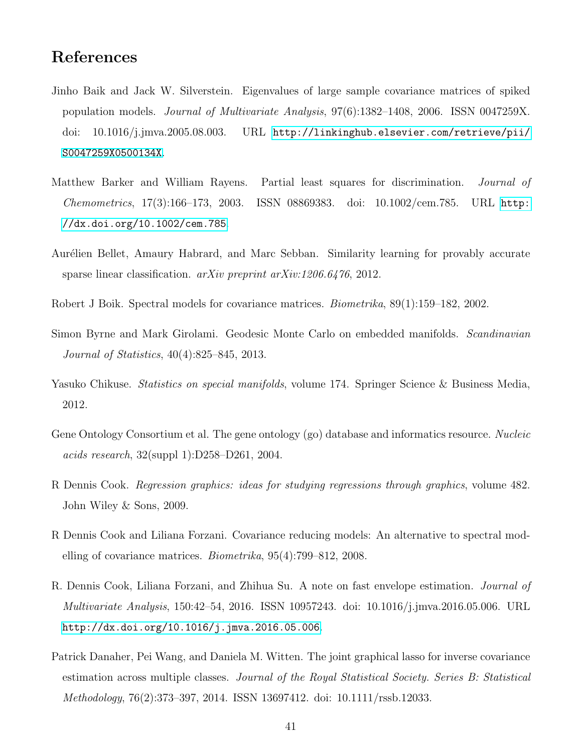## References

- <span id="page-40-5"></span>Jinho Baik and Jack W. Silverstein. Eigenvalues of large sample covariance matrices of spiked population models. Journal of Multivariate Analysis, 97(6):1382–1408, 2006. ISSN 0047259X. doi: 10.1016/j.jmva.2005.08.003. URL [http://linkinghub.elsevier.com/retrieve/pii/](http://linkinghub.elsevier.com/retrieve/pii/S0047259X0500134X) [S0047259X0500134X](http://linkinghub.elsevier.com/retrieve/pii/S0047259X0500134X).
- <span id="page-40-2"></span>Matthew Barker and William Rayens. Partial least squares for discrimination. Journal of Chemometrics, 17(3):166–173, 2003. ISSN 08869383. doi: 10.1002/cem.785. URL [http:](http://dx.doi.org/10.1002/cem.785) [//dx.doi.org/10.1002/cem.785](http://dx.doi.org/10.1002/cem.785).
- <span id="page-40-3"></span>Aurélien Bellet, Amaury Habrard, and Marc Sebban. Similarity learning for provably accurate sparse linear classification.  $arXiv$  preprint  $arXiv:1206.6476, 2012$ .
- <span id="page-40-0"></span>Robert J Boik. Spectral models for covariance matrices. Biometrika, 89(1):159–182, 2002.
- <span id="page-40-10"></span>Simon Byrne and Mark Girolami. Geodesic Monte Carlo on embedded manifolds. Scandinavian Journal of Statistics, 40(4):825–845, 2013.
- <span id="page-40-6"></span>Yasuko Chikuse. *Statistics on special manifolds*, volume 174. Springer Science & Business Media, 2012.
- <span id="page-40-9"></span>Gene Ontology Consortium et al. The gene ontology (go) database and informatics resource. Nucleic acids research, 32(suppl 1):D258–D261, 2004.
- <span id="page-40-7"></span>R Dennis Cook. Regression graphics: ideas for studying regressions through graphics, volume 482. John Wiley & Sons, 2009.
- <span id="page-40-4"></span>R Dennis Cook and Liliana Forzani. Covariance reducing models: An alternative to spectral modelling of covariance matrices. Biometrika, 95(4):799–812, 2008.
- <span id="page-40-8"></span>R. Dennis Cook, Liliana Forzani, and Zhihua Su. A note on fast envelope estimation. Journal of Multivariate Analysis, 150:42–54, 2016. ISSN 10957243. doi: 10.1016/j.jmva.2016.05.006. URL <http://dx.doi.org/10.1016/j.jmva.2016.05.006>.
- <span id="page-40-1"></span>Patrick Danaher, Pei Wang, and Daniela M. Witten. The joint graphical lasso for inverse covariance estimation across multiple classes. Journal of the Royal Statistical Society. Series B: Statistical Methodology, 76(2):373–397, 2014. ISSN 13697412. doi: 10.1111/rssb.12033.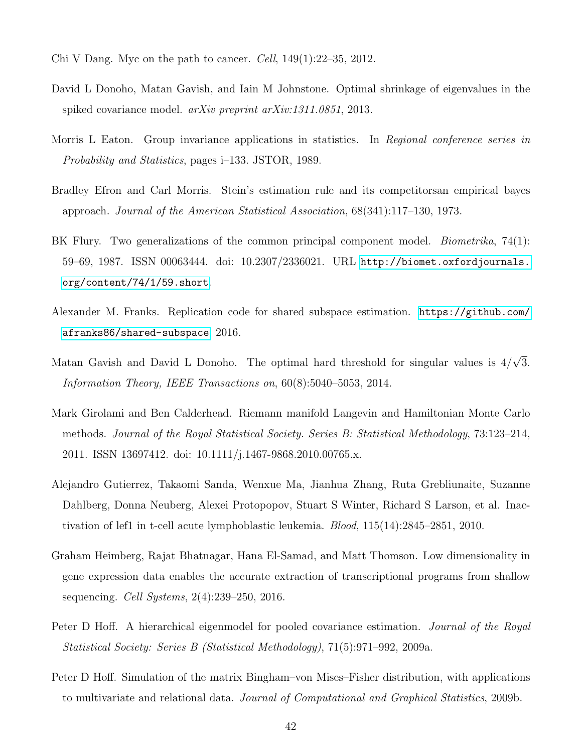- <span id="page-41-8"></span>Chi V Dang. Myc on the path to cancer. Cell,  $149(1):22-35$ ,  $2012$ .
- <span id="page-41-3"></span>David L Donoho, Matan Gavish, and Iain M Johnstone. Optimal shrinkage of eigenvalues in the spiked covariance model. arXiv preprint arXiv:1311.0851, 2013.
- <span id="page-41-6"></span>Morris L Eaton. Group invariance applications in statistics. In Regional conference series in Probability and Statistics, pages i–133. JSTOR, 1989.
- <span id="page-41-4"></span>Bradley Efron and Carl Morris. Stein's estimation rule and its competitorsan empirical bayes approach. Journal of the American Statistical Association, 68(341):117–130, 1973.
- <span id="page-41-1"></span>BK Flury. Two generalizations of the common principal component model. *Biometrika*, 74(1): 59–69, 1987. ISSN 00063444. doi: 10.2307/2336021. URL [http://biomet.oxfordjournals.](http://biomet.oxfordjournals.org/content/74/1/59.short) [org/content/74/1/59.short](http://biomet.oxfordjournals.org/content/74/1/59.short).
- <span id="page-41-11"></span>Alexander M. Franks. Replication code for shared subspace estimation. [https://github.com/](https://github.com/afranks86/shared-subspace) [afranks86/shared-subspace](https://github.com/afranks86/shared-subspace), 2016.
- <span id="page-41-7"></span>Matan Gavish and David L Donoho. The optimal hard threshold for singular values is 4/ √ 3. Information Theory, IEEE Transactions on, 60(8):5040–5053, 2014.
- <span id="page-41-10"></span>Mark Girolami and Ben Calderhead. Riemann manifold Langevin and Hamiltonian Monte Carlo methods. Journal of the Royal Statistical Society. Series B: Statistical Methodology, 73:123–214, 2011. ISSN 13697412. doi: 10.1111/j.1467-9868.2010.00765.x.
- <span id="page-41-9"></span>Alejandro Gutierrez, Takaomi Sanda, Wenxue Ma, Jianhua Zhang, Ruta Grebliunaite, Suzanne Dahlberg, Donna Neuberg, Alexei Protopopov, Stuart S Winter, Richard S Larson, et al. Inactivation of lef1 in t-cell acute lymphoblastic leukemia. Blood, 115(14):2845–2851, 2010.
- <span id="page-41-0"></span>Graham Heimberg, Rajat Bhatnagar, Hana El-Samad, and Matt Thomson. Low dimensionality in gene expression data enables the accurate extraction of transcriptional programs from shallow sequencing. Cell Systems, 2(4):239–250, 2016.
- <span id="page-41-2"></span>Peter D Hoff. A hierarchical eigenmodel for pooled covariance estimation. *Journal of the Royal* Statistical Society: Series B (Statistical Methodology), 71(5):971–992, 2009a.
- <span id="page-41-5"></span>Peter D Hoff. Simulation of the matrix Bingham–von Mises–Fisher distribution, with applications to multivariate and relational data. Journal of Computational and Graphical Statistics, 2009b.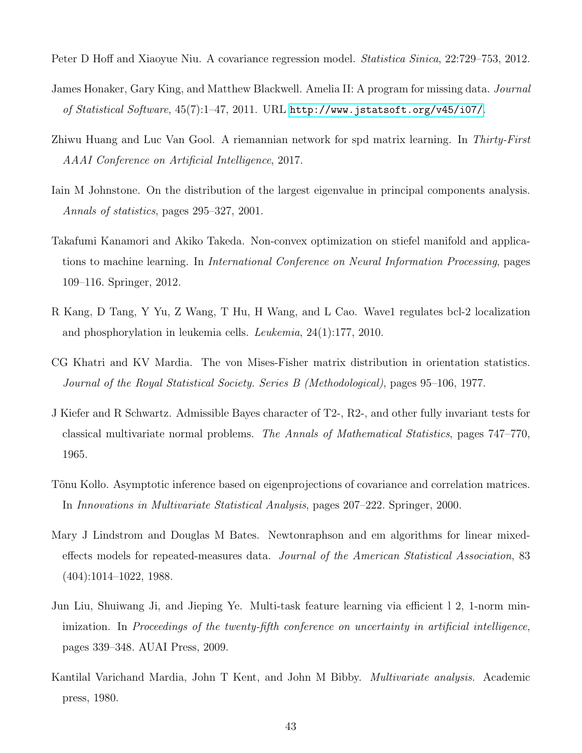<span id="page-42-11"></span>Peter D Hoff and Xiaoyue Niu. A covariance regression model. *Statistica Sinica*, 22:729–753, 2012.

- <span id="page-42-9"></span>James Honaker, Gary King, and Matthew Blackwell. Amelia II: A program for missing data. Journal of Statistical Software, 45(7):1–47, 2011. URL <http://www.jstatsoft.org/v45/i07/>.
- <span id="page-42-2"></span>Zhiwu Huang and Luc Van Gool. A riemannian network for spd matrix learning. In Thirty-First AAAI Conference on Artificial Intelligence, 2017.
- <span id="page-42-4"></span>Iain M Johnstone. On the distribution of the largest eigenvalue in principal components analysis. Annals of statistics, pages 295–327, 2001.
- <span id="page-42-1"></span>Takafumi Kanamori and Akiko Takeda. Non-convex optimization on stiefel manifold and applications to machine learning. In International Conference on Neural Information Processing, pages 109–116. Springer, 2012.
- <span id="page-42-10"></span>R Kang, D Tang, Y Yu, Z Wang, T Hu, H Wang, and L Cao. Wave1 regulates bcl-2 localization and phosphorylation in leukemia cells. Leukemia, 24(1):177, 2010.
- <span id="page-42-8"></span>CG Khatri and KV Mardia. The von Mises-Fisher matrix distribution in orientation statistics. Journal of the Royal Statistical Society. Series B (Methodological), pages 95–106, 1977.
- <span id="page-42-5"></span>J Kiefer and R Schwartz. Admissible Bayes character of T2-, R2-, and other fully invariant tests for classical multivariate normal problems. The Annals of Mathematical Statistics, pages 747–770, 1965.
- <span id="page-42-7"></span>Tõnu Kollo. Asymptotic inference based on eigenprojections of covariance and correlation matrices. In Innovations in Multivariate Statistical Analysis, pages 207–222. Springer, 2000.
- <span id="page-42-6"></span>Mary J Lindstrom and Douglas M Bates. Newtonraphson and em algorithms for linear mixedeffects models for repeated-measures data. Journal of the American Statistical Association, 83 (404):1014–1022, 1988.
- <span id="page-42-0"></span>Jun Liu, Shuiwang Ji, and Jieping Ye. Multi-task feature learning via efficient l 2, 1-norm minimization. In Proceedings of the twenty-fifth conference on uncertainty in artificial intelligence, pages 339–348. AUAI Press, 2009.
- <span id="page-42-3"></span>Kantilal Varichand Mardia, John T Kent, and John M Bibby. Multivariate analysis. Academic press, 1980.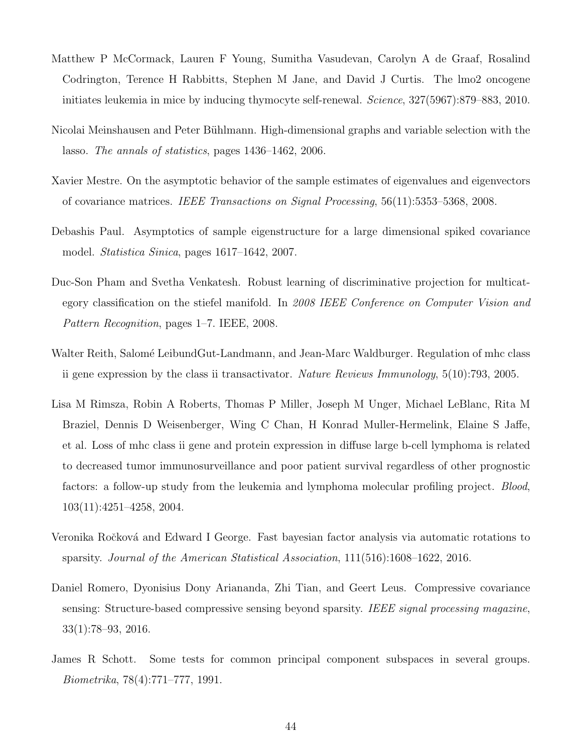- <span id="page-43-8"></span>Matthew P McCormack, Lauren F Young, Sumitha Vasudevan, Carolyn A de Graaf, Rosalind Codrington, Terence H Rabbitts, Stephen M Jane, and David J Curtis. The lmo2 oncogene initiates leukemia in mice by inducing thymocyte self-renewal. Science, 327(5967):879–883, 2010.
- <span id="page-43-1"></span>Nicolai Meinshausen and Peter Bühlmann. High-dimensional graphs and variable selection with the lasso. The annals of statistics, pages 1436–1462, 2006.
- <span id="page-43-5"></span>Xavier Mestre. On the asymptotic behavior of the sample estimates of eigenvalues and eigenvectors of covariance matrices. IEEE Transactions on Signal Processing, 56(11):5353–5368, 2008.
- <span id="page-43-4"></span>Debashis Paul. Asymptotics of sample eigenstructure for a large dimensional spiked covariance model. Statistica Sinica, pages 1617–1642, 2007.
- <span id="page-43-2"></span>Duc-Son Pham and Svetha Venkatesh. Robust learning of discriminative projection for multicategory classification on the stiefel manifold. In 2008 IEEE Conference on Computer Vision and Pattern Recognition, pages 1–7. IEEE, 2008.
- <span id="page-43-6"></span>Walter Reith, Salomé LeibundGut-Landmann, and Jean-Marc Waldburger. Regulation of mhc class ii gene expression by the class ii transactivator. Nature Reviews Immunology, 5(10):793, 2005.
- <span id="page-43-7"></span>Lisa M Rimsza, Robin A Roberts, Thomas P Miller, Joseph M Unger, Michael LeBlanc, Rita M Braziel, Dennis D Weisenberger, Wing C Chan, H Konrad Muller-Hermelink, Elaine S Jaffe, et al. Loss of mhc class ii gene and protein expression in diffuse large b-cell lymphoma is related to decreased tumor immunosurveillance and poor patient survival regardless of other prognostic factors: a follow-up study from the leukemia and lymphoma molecular profiling project. *Blood*, 103(11):4251–4258, 2004.
- <span id="page-43-9"></span>Veronika Ročková and Edward I George. Fast bayesian factor analysis via automatic rotations to sparsity. Journal of the American Statistical Association, 111(516):1608–1622, 2016.
- <span id="page-43-3"></span>Daniel Romero, Dyonisius Dony Ariananda, Zhi Tian, and Geert Leus. Compressive covariance sensing: Structure-based compressive sensing beyond sparsity. IEEE signal processing magazine, 33(1):78–93, 2016.
- <span id="page-43-0"></span>James R Schott. Some tests for common principal component subspaces in several groups. Biometrika, 78(4):771–777, 1991.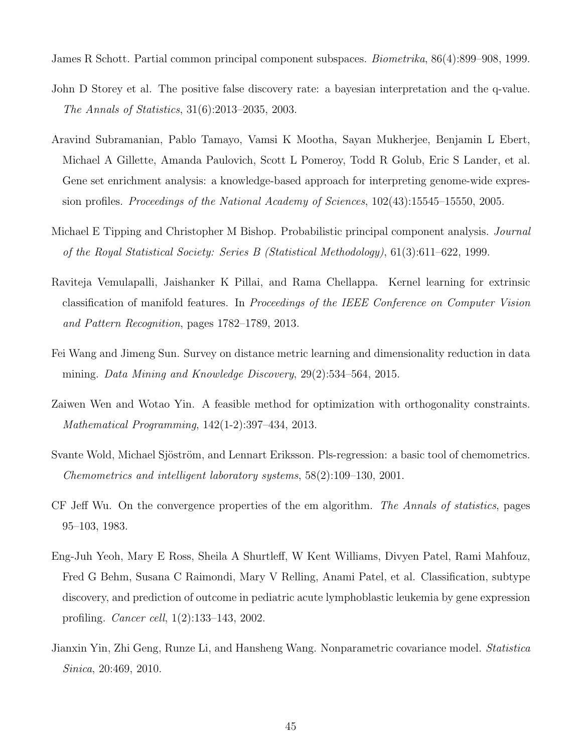<span id="page-44-0"></span>James R Schott. Partial common principal component subspaces. Biometrika, 86(4):899–908, 1999.

- <span id="page-44-9"></span>John D Storey et al. The positive false discovery rate: a bayesian interpretation and the q-value. The Annals of Statistics, 31(6):2013–2035, 2003.
- <span id="page-44-8"></span>Aravind Subramanian, Pablo Tamayo, Vamsi K Mootha, Sayan Mukherjee, Benjamin L Ebert, Michael A Gillette, Amanda Paulovich, Scott L Pomeroy, Todd R Golub, Eric S Lander, et al. Gene set enrichment analysis: a knowledge-based approach for interpreting genome-wide expression profiles. Proceedings of the National Academy of Sciences, 102(43):15545–15550, 2005.
- <span id="page-44-6"></span>Michael E Tipping and Christopher M Bishop. Probabilistic principal component analysis. *Journal* of the Royal Statistical Society: Series B (Statistical Methodology), 61(3):611–622, 1999.
- <span id="page-44-3"></span>Raviteja Vemulapalli, Jaishanker K Pillai, and Rama Chellappa. Kernel learning for extrinsic classification of manifold features. In Proceedings of the IEEE Conference on Computer Vision and Pattern Recognition, pages 1782–1789, 2013.
- <span id="page-44-2"></span>Fei Wang and Jimeng Sun. Survey on distance metric learning and dimensionality reduction in data mining. Data Mining and Knowledge Discovery, 29(2):534–564, 2015.
- <span id="page-44-4"></span>Zaiwen Wen and Wotao Yin. A feasible method for optimization with orthogonality constraints. Mathematical Programming, 142(1-2):397–434, 2013.
- <span id="page-44-1"></span>Svante Wold, Michael Sjöström, and Lennart Eriksson. Pls-regression: a basic tool of chemometrics. Chemometrics and intelligent laboratory systems, 58(2):109–130, 2001.
- <span id="page-44-5"></span>CF Jeff Wu. On the convergence properties of the em algorithm. The Annals of statistics, pages 95–103, 1983.
- <span id="page-44-7"></span>Eng-Juh Yeoh, Mary E Ross, Sheila A Shurtleff, W Kent Williams, Divyen Patel, Rami Mahfouz, Fred G Behm, Susana C Raimondi, Mary V Relling, Anami Patel, et al. Classification, subtype discovery, and prediction of outcome in pediatric acute lymphoblastic leukemia by gene expression profiling. Cancer cell, 1(2):133–143, 2002.
- <span id="page-44-10"></span>Jianxin Yin, Zhi Geng, Runze Li, and Hansheng Wang. Nonparametric covariance model. Statistica Sinica, 20:469, 2010.